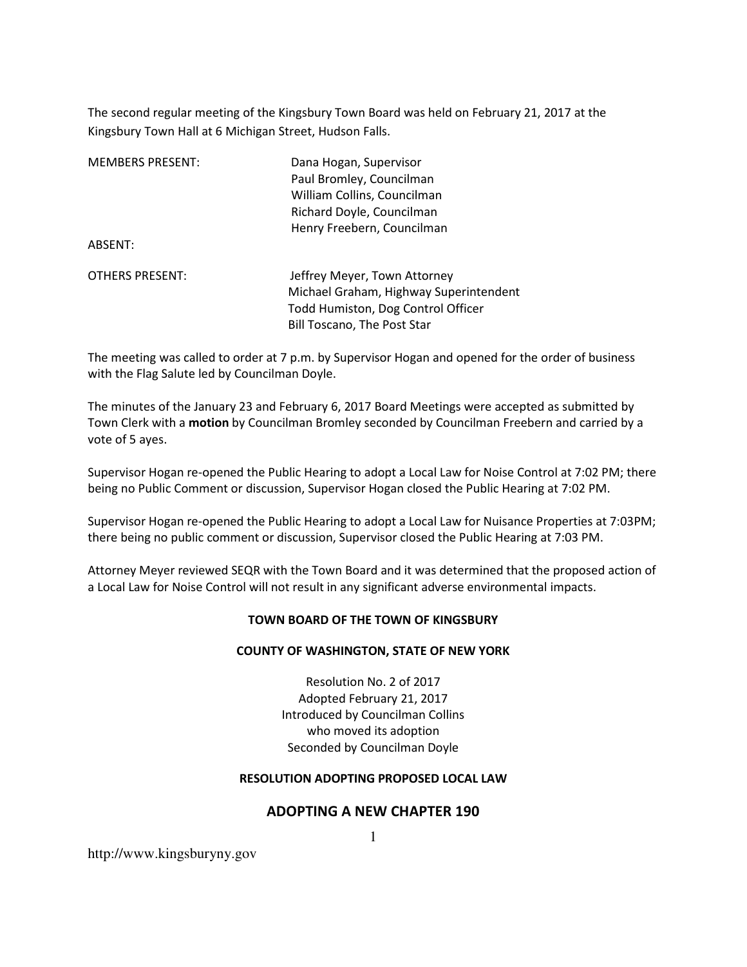The second regular meeting of the Kingsbury Town Board was held on February 21, 2017 at the Kingsbury Town Hall at 6 Michigan Street, Hudson Falls.

| <b>MEMBERS PRESENT:</b><br>ABSENT: | Dana Hogan, Supervisor<br>Paul Bromley, Councilman<br>William Collins, Councilman<br>Richard Doyle, Councilman<br>Henry Freebern, Councilman       |
|------------------------------------|----------------------------------------------------------------------------------------------------------------------------------------------------|
| <b>OTHERS PRESENT:</b>             | Jeffrey Meyer, Town Attorney<br>Michael Graham, Highway Superintendent<br>Todd Humiston, Dog Control Officer<br><b>Bill Toscano, The Post Star</b> |

The meeting was called to order at 7 p.m. by Supervisor Hogan and opened for the order of business with the Flag Salute led by Councilman Doyle.

The minutes of the January 23 and February 6, 2017 Board Meetings were accepted as submitted by Town Clerk with a **motion** by Councilman Bromley seconded by Councilman Freebern and carried by a vote of 5 ayes.

Supervisor Hogan re-opened the Public Hearing to adopt a Local Law for Noise Control at 7:02 PM; there being no Public Comment or discussion, Supervisor Hogan closed the Public Hearing at 7:02 PM.

Supervisor Hogan re-opened the Public Hearing to adopt a Local Law for Nuisance Properties at 7:03PM; there being no public comment or discussion, Supervisor closed the Public Hearing at 7:03 PM.

Attorney Meyer reviewed SEQR with the Town Board and it was determined that the proposed action of a Local Law for Noise Control will not result in any significant adverse environmental impacts.

#### **TOWN BOARD OF THE TOWN OF KINGSBURY**

#### **COUNTY OF WASHINGTON, STATE OF NEW YORK**

Resolution No. 2 of 2017 Adopted February 21, 2017 Introduced by Councilman Collins who moved its adoption Seconded by Councilman Doyle

#### **RESOLUTION ADOPTING PROPOSED LOCAL LAW**

## 1 **ADOPTING A NEW CHAPTER 190**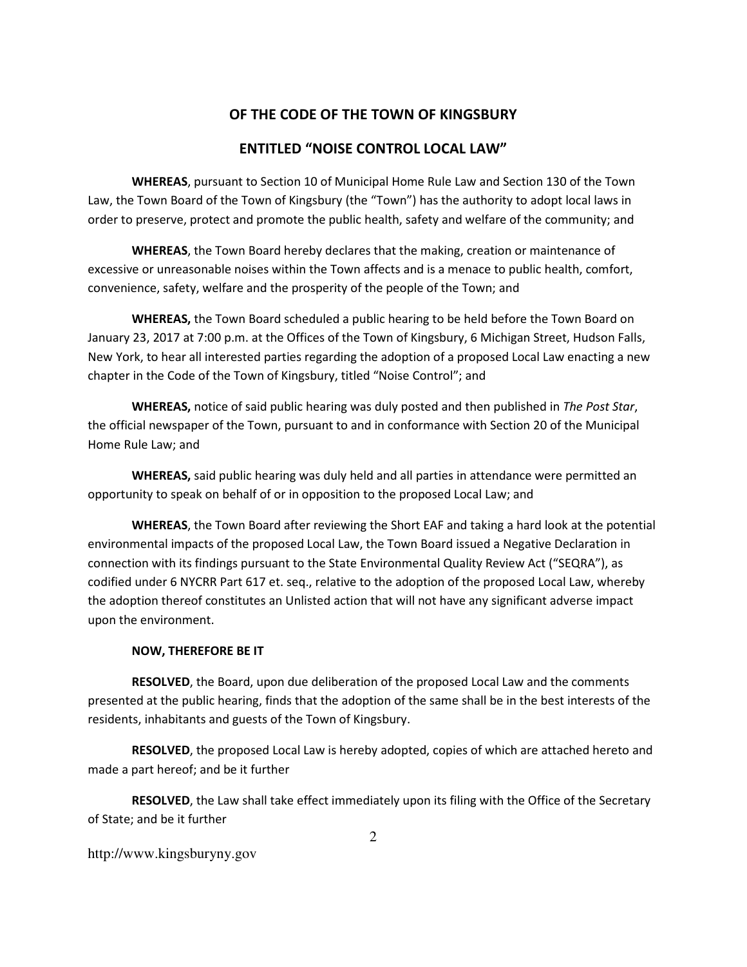### **OF THE CODE OF THE TOWN OF KINGSBURY**

### **ENTITLED "NOISE CONTROL LOCAL LAW"**

**WHEREAS**, pursuant to Section 10 of Municipal Home Rule Law and Section 130 of the Town Law, the Town Board of the Town of Kingsbury (the "Town") has the authority to adopt local laws in order to preserve, protect and promote the public health, safety and welfare of the community; and

**WHEREAS**, the Town Board hereby declares that the making, creation or maintenance of excessive or unreasonable noises within the Town affects and is a menace to public health, comfort, convenience, safety, welfare and the prosperity of the people of the Town; and

**WHEREAS,** the Town Board scheduled a public hearing to be held before the Town Board on January 23, 2017 at 7:00 p.m. at the Offices of the Town of Kingsbury, 6 Michigan Street, Hudson Falls, New York, to hear all interested parties regarding the adoption of a proposed Local Law enacting a new chapter in the Code of the Town of Kingsbury, titled "Noise Control"; and

**WHEREAS,** notice of said public hearing was duly posted and then published in *The Post Star*, the official newspaper of the Town, pursuant to and in conformance with Section 20 of the Municipal Home Rule Law; and

**WHEREAS,** said public hearing was duly held and all parties in attendance were permitted an opportunity to speak on behalf of or in opposition to the proposed Local Law; and

**WHEREAS**, the Town Board after reviewing the Short EAF and taking a hard look at the potential environmental impacts of the proposed Local Law, the Town Board issued a Negative Declaration in connection with its findings pursuant to the State Environmental Quality Review Act ("SEQRA"), as codified under 6 NYCRR Part 617 et. seq., relative to the adoption of the proposed Local Law, whereby the adoption thereof constitutes an Unlisted action that will not have any significant adverse impact upon the environment.

#### **NOW, THEREFORE BE IT**

**RESOLVED**, the Board, upon due deliberation of the proposed Local Law and the comments presented at the public hearing, finds that the adoption of the same shall be in the best interests of the residents, inhabitants and guests of the Town of Kingsbury.

**RESOLVED**, the proposed Local Law is hereby adopted, copies of which are attached hereto and made a part hereof; and be it further

**RESOLVED**, the Law shall take effect immediately upon its filing with the Office of the Secretary of State; and be it further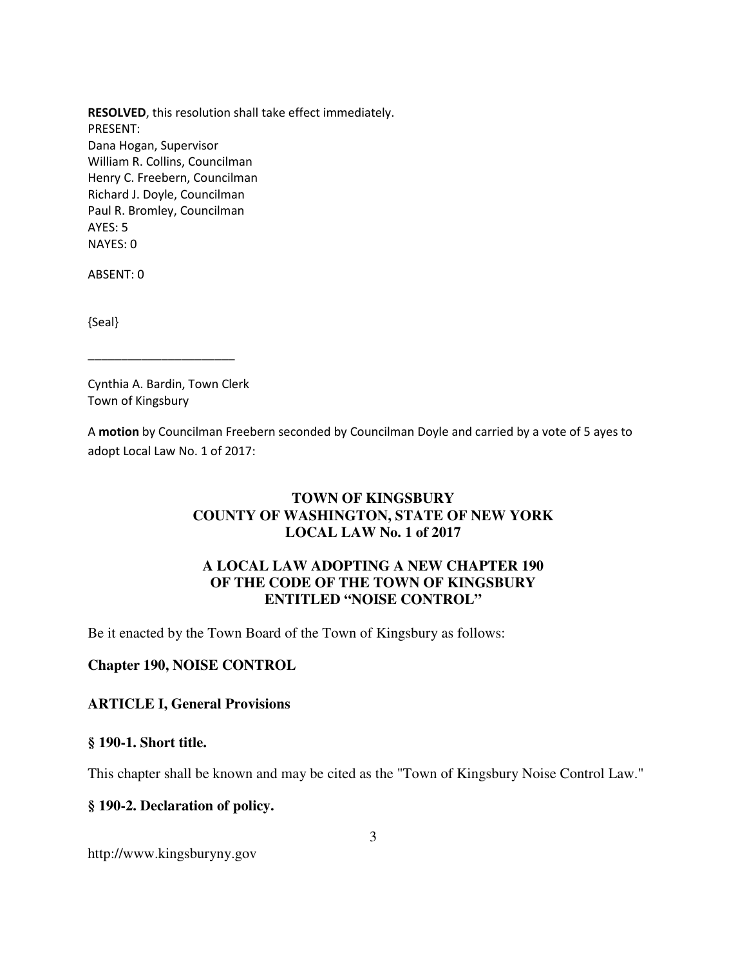**RESOLVED**, this resolution shall take effect immediately. PRESENT: Dana Hogan, Supervisor William R. Collins, Councilman Henry C. Freebern, Councilman Richard J. Doyle, Councilman Paul R. Bromley, Councilman AYES: 5 NAYES: 0

ABSENT: 0

{Seal}

Cynthia A. Bardin, Town Clerk Town of Kingsbury

\_\_\_\_\_\_\_\_\_\_\_\_\_\_\_\_\_\_\_\_\_\_

A **motion** by Councilman Freebern seconded by Councilman Doyle and carried by a vote of 5 ayes to adopt Local Law No. 1 of 2017:

### **TOWN OF KINGSBURY COUNTY OF WASHINGTON, STATE OF NEW YORK LOCAL LAW No. 1 of 2017**

### **A LOCAL LAW ADOPTING A NEW CHAPTER 190 OF THE CODE OF THE TOWN OF KINGSBURY ENTITLED "NOISE CONTROL"**

Be it enacted by the Town Board of the Town of Kingsbury as follows:

### **Chapter 190, NOISE CONTROL**

#### **ARTICLE I, General Provisions**

#### **§ 190-1. Short title.**

This chapter shall be known and may be cited as the "Town of Kingsbury Noise Control Law."

### **§ 190-2. Declaration of policy.**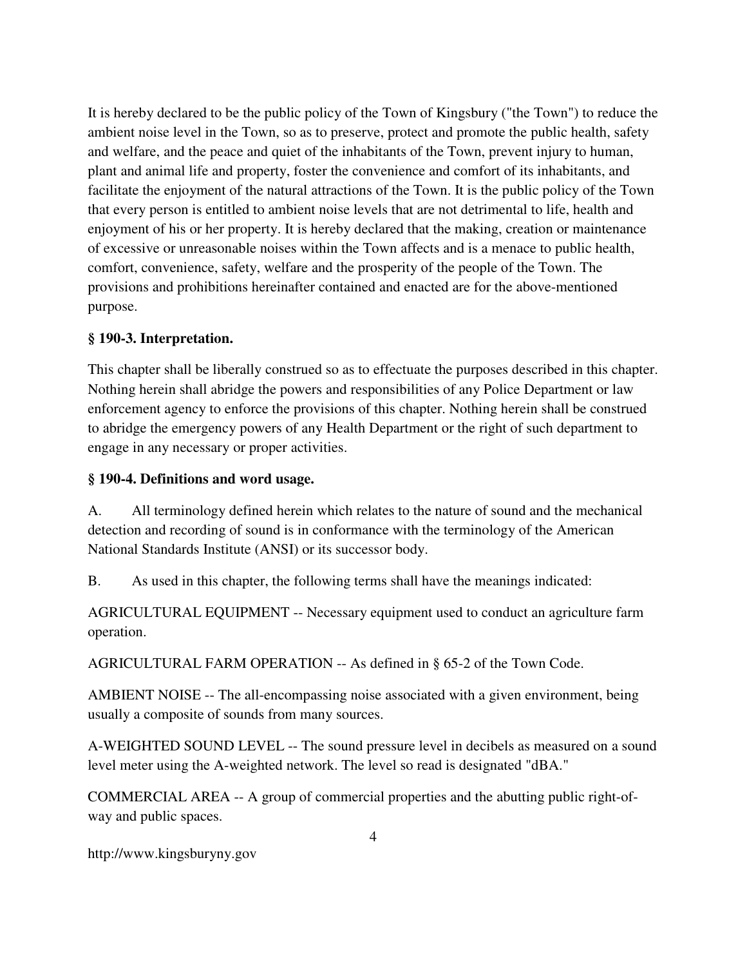It is hereby declared to be the public policy of the Town of Kingsbury ("the Town") to reduce the ambient noise level in the Town, so as to preserve, protect and promote the public health, safety and welfare, and the peace and quiet of the inhabitants of the Town, prevent injury to human, plant and animal life and property, foster the convenience and comfort of its inhabitants, and facilitate the enjoyment of the natural attractions of the Town. It is the public policy of the Town that every person is entitled to ambient noise levels that are not detrimental to life, health and enjoyment of his or her property. It is hereby declared that the making, creation or maintenance of excessive or unreasonable noises within the Town affects and is a menace to public health, comfort, convenience, safety, welfare and the prosperity of the people of the Town. The provisions and prohibitions hereinafter contained and enacted are for the above-mentioned purpose.

### **§ 190-3. Interpretation.**

This chapter shall be liberally construed so as to effectuate the purposes described in this chapter. Nothing herein shall abridge the powers and responsibilities of any Police Department or law enforcement agency to enforce the provisions of this chapter. Nothing herein shall be construed to abridge the emergency powers of any Health Department or the right of such department to engage in any necessary or proper activities.

### **§ 190-4. Definitions and word usage.**

A. All terminology defined herein which relates to the nature of sound and the mechanical detection and recording of sound is in conformance with the terminology of the American National Standards Institute (ANSI) or its successor body.

B. As used in this chapter, the following terms shall have the meanings indicated:

AGRICULTURAL EQUIPMENT -- Necessary equipment used to conduct an agriculture farm operation.

AGRICULTURAL FARM OPERATION -- As defined in § 65-2 of the Town Code.

AMBIENT NOISE -- The all-encompassing noise associated with a given environment, being usually a composite of sounds from many sources.

A-WEIGHTED SOUND LEVEL -- The sound pressure level in decibels as measured on a sound level meter using the A-weighted network. The level so read is designated "dBA."

COMMERCIAL AREA -- A group of commercial properties and the abutting public right-ofway and public spaces.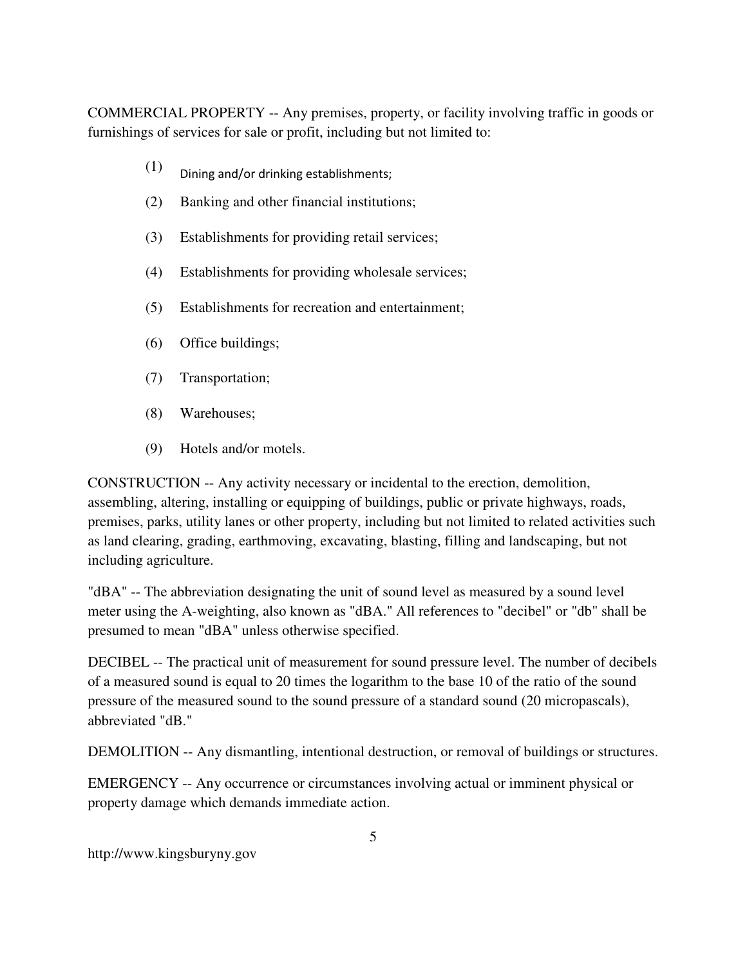COMMERCIAL PROPERTY -- Any premises, property, or facility involving traffic in goods or furnishings of services for sale or profit, including but not limited to:

- $(1)$  Dining and/or drinking establishments;
- (2) Banking and other financial institutions;
- (3) Establishments for providing retail services;
- (4) Establishments for providing wholesale services;
- (5) Establishments for recreation and entertainment;
- (6) Office buildings;
- (7) Transportation;
- (8) Warehouses;
- (9) Hotels and/or motels.

CONSTRUCTION -- Any activity necessary or incidental to the erection, demolition, assembling, altering, installing or equipping of buildings, public or private highways, roads, premises, parks, utility lanes or other property, including but not limited to related activities such as land clearing, grading, earthmoving, excavating, blasting, filling and landscaping, but not including agriculture.

"dBA" -- The abbreviation designating the unit of sound level as measured by a sound level meter using the A-weighting, also known as "dBA." All references to "decibel" or "db" shall be presumed to mean "dBA" unless otherwise specified.

DECIBEL -- The practical unit of measurement for sound pressure level. The number of decibels of a measured sound is equal to 20 times the logarithm to the base 10 of the ratio of the sound pressure of the measured sound to the sound pressure of a standard sound (20 micropascals), abbreviated "dB."

DEMOLITION -- Any dismantling, intentional destruction, or removal of buildings or structures.

EMERGENCY -- Any occurrence or circumstances involving actual or imminent physical or property damage which demands immediate action.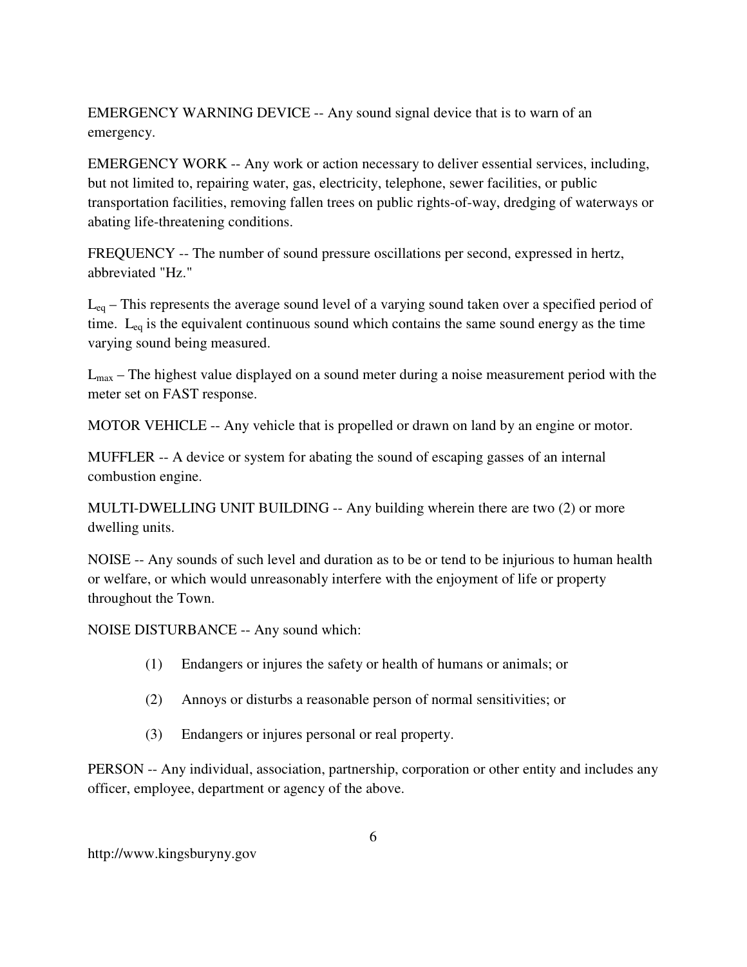EMERGENCY WARNING DEVICE -- Any sound signal device that is to warn of an emergency.

EMERGENCY WORK -- Any work or action necessary to deliver essential services, including, but not limited to, repairing water, gas, electricity, telephone, sewer facilities, or public transportation facilities, removing fallen trees on public rights-of-way, dredging of waterways or abating life-threatening conditions.

FREQUENCY -- The number of sound pressure oscillations per second, expressed in hertz, abbreviated "Hz."

Leq – This represents the average sound level of a varying sound taken over a specified period of time.  $L_{eq}$  is the equivalent continuous sound which contains the same sound energy as the time varying sound being measured.

 $L_{\text{max}}$  – The highest value displayed on a sound meter during a noise measurement period with the meter set on FAST response.

MOTOR VEHICLE -- Any vehicle that is propelled or drawn on land by an engine or motor.

MUFFLER -- A device or system for abating the sound of escaping gasses of an internal combustion engine.

MULTI-DWELLING UNIT BUILDING -- Any building wherein there are two (2) or more dwelling units.

NOISE -- Any sounds of such level and duration as to be or tend to be injurious to human health or welfare, or which would unreasonably interfere with the enjoyment of life or property throughout the Town.

NOISE DISTURBANCE -- Any sound which:

- (1) Endangers or injures the safety or health of humans or animals; or
- (2) Annoys or disturbs a reasonable person of normal sensitivities; or
- (3) Endangers or injures personal or real property.

PERSON -- Any individual, association, partnership, corporation or other entity and includes any officer, employee, department or agency of the above.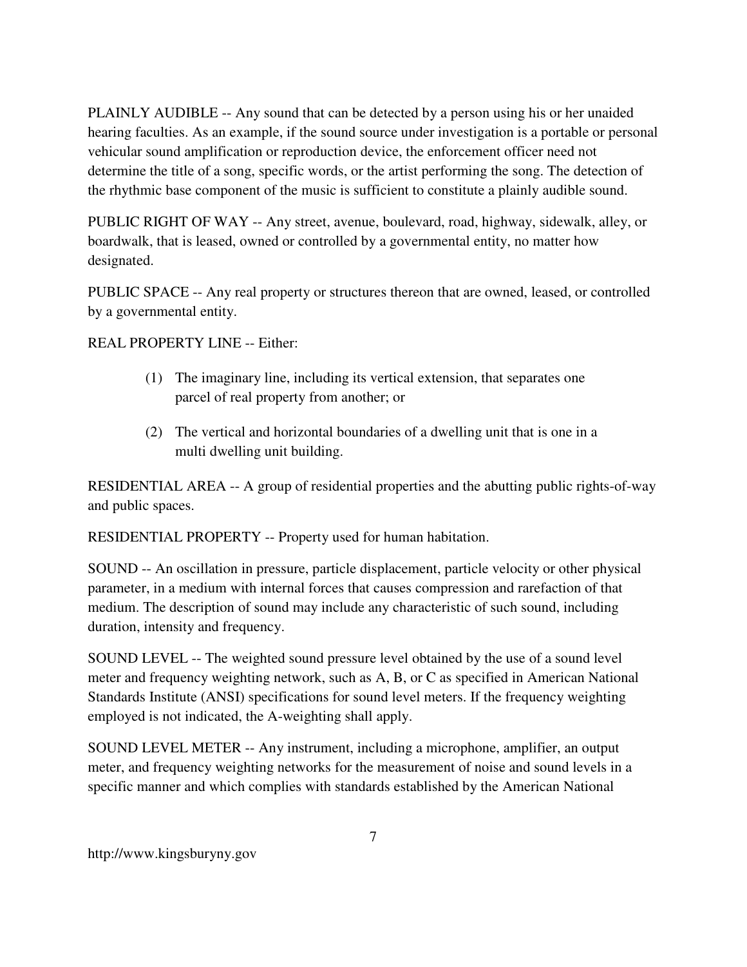PLAINLY AUDIBLE -- Any sound that can be detected by a person using his or her unaided hearing faculties. As an example, if the sound source under investigation is a portable or personal vehicular sound amplification or reproduction device, the enforcement officer need not determine the title of a song, specific words, or the artist performing the song. The detection of the rhythmic base component of the music is sufficient to constitute a plainly audible sound.

PUBLIC RIGHT OF WAY -- Any street, avenue, boulevard, road, highway, sidewalk, alley, or boardwalk, that is leased, owned or controlled by a governmental entity, no matter how designated.

PUBLIC SPACE -- Any real property or structures thereon that are owned, leased, or controlled by a governmental entity.

REAL PROPERTY LINE -- Either:

- (1) The imaginary line, including its vertical extension, that separates one parcel of real property from another; or
- (2) The vertical and horizontal boundaries of a dwelling unit that is one in a multi dwelling unit building.

RESIDENTIAL AREA -- A group of residential properties and the abutting public rights-of-way and public spaces.

RESIDENTIAL PROPERTY -- Property used for human habitation.

SOUND -- An oscillation in pressure, particle displacement, particle velocity or other physical parameter, in a medium with internal forces that causes compression and rarefaction of that medium. The description of sound may include any characteristic of such sound, including duration, intensity and frequency.

SOUND LEVEL -- The weighted sound pressure level obtained by the use of a sound level meter and frequency weighting network, such as A, B, or C as specified in American National Standards Institute (ANSI) specifications for sound level meters. If the frequency weighting employed is not indicated, the A-weighting shall apply.

SOUND LEVEL METER -- Any instrument, including a microphone, amplifier, an output meter, and frequency weighting networks for the measurement of noise and sound levels in a specific manner and which complies with standards established by the American National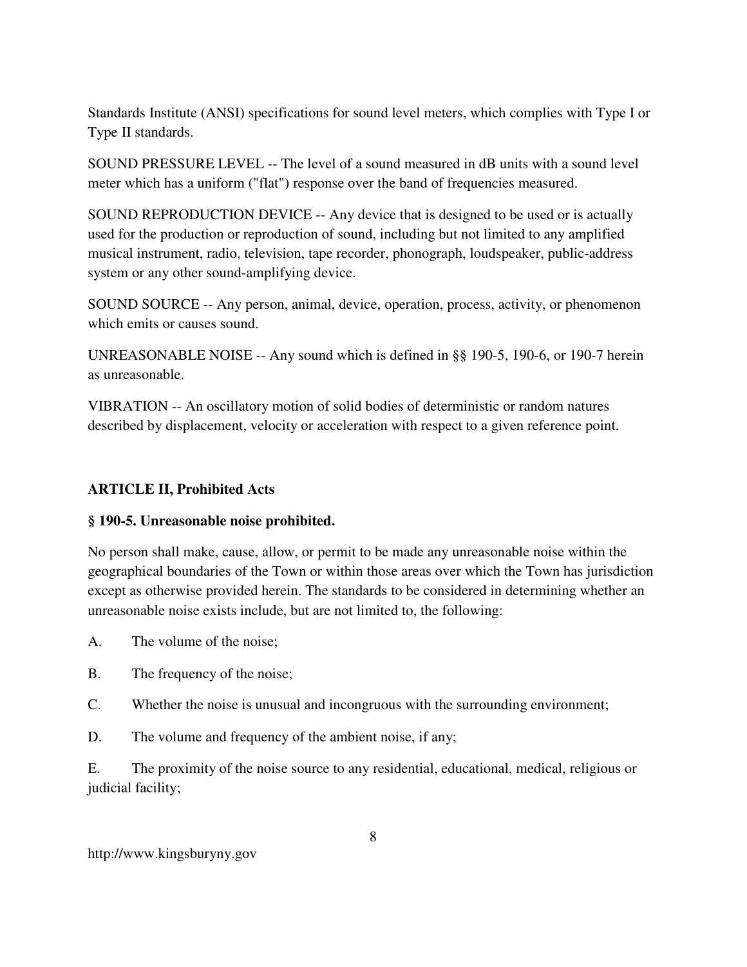Standards Institute (ANSI) specifications for sound level meters, which complies with Type I or Type II standards.

SOUND PRESSURE LEVEL -- The level of a sound measured in dB units with a sound level meter which has a uniform ("flat") response over the band of frequencies measured.

SOUND REPRODUCTION DEVICE -- Any device that is designed to be used or is actually used for the production or reproduction of sound, including but not limited to any amplified musical instrument, radio, television, tape recorder, phonograph, loudspeaker, public-address system or any other sound-amplifying device.

SOUND SOURCE -- Any person, animal, device, operation, process, activity, or phenomenon which emits or causes sound.

UNREASONABLE NOISE -- Any sound which is defined in §§ 190-5, 190-6, or 190-7 herein as unreasonable.

VIBRATION -- An oscillatory motion of solid bodies of deterministic or random natures described by displacement, velocity or acceleration with respect to a given reference point.

## **ARTICLE II, Prohibited Acts**

### **§ 190-5. Unreasonable noise prohibited.**

No person shall make, cause, allow, or permit to be made any unreasonable noise within the geographical boundaries of the Town or within those areas over which the Town has jurisdiction except as otherwise provided herein. The standards to be considered in determining whether an unreasonable noise exists include, but are not limited to, the following:

A. The volume of the noise;

- B. The frequency of the noise;
- C. Whether the noise is unusual and incongruous with the surrounding environment;
- D. The volume and frequency of the ambient noise, if any;

E. The proximity of the noise source to any residential, educational, medical, religious or judicial facility;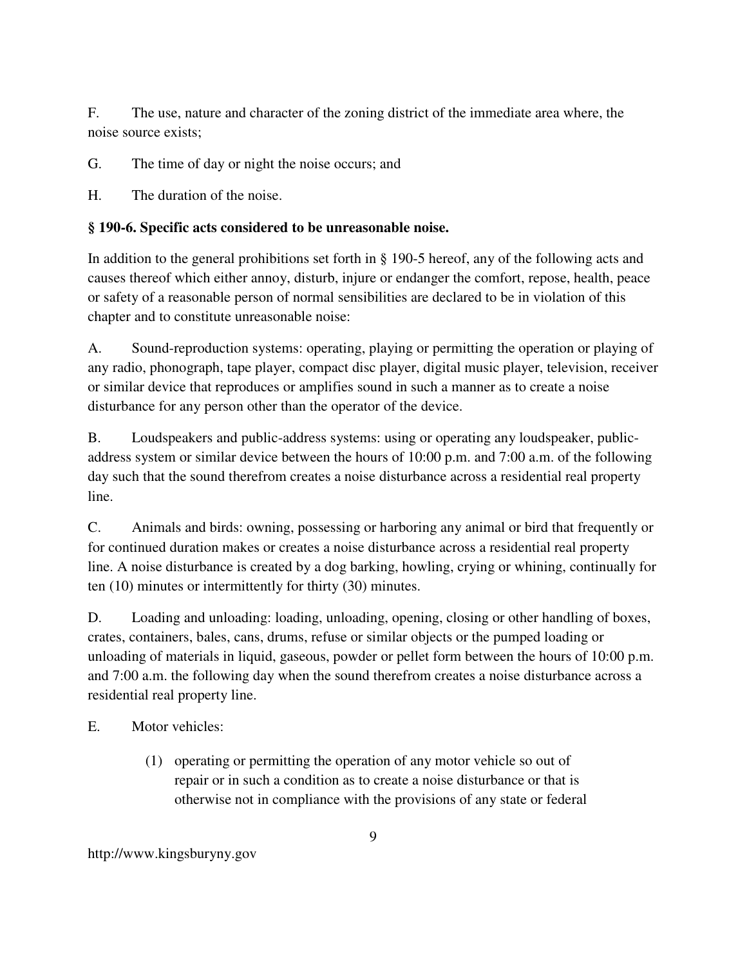F. The use, nature and character of the zoning district of the immediate area where, the noise source exists;

G. The time of day or night the noise occurs; and

H. The duration of the noise.

### **§ 190-6. Specific acts considered to be unreasonable noise.**

In addition to the general prohibitions set forth in § 190-5 hereof, any of the following acts and causes thereof which either annoy, disturb, injure or endanger the comfort, repose, health, peace or safety of a reasonable person of normal sensibilities are declared to be in violation of this chapter and to constitute unreasonable noise:

A. Sound-reproduction systems: operating, playing or permitting the operation or playing of any radio, phonograph, tape player, compact disc player, digital music player, television, receiver or similar device that reproduces or amplifies sound in such a manner as to create a noise disturbance for any person other than the operator of the device.

B. Loudspeakers and public-address systems: using or operating any loudspeaker, publicaddress system or similar device between the hours of 10:00 p.m. and 7:00 a.m. of the following day such that the sound therefrom creates a noise disturbance across a residential real property line.

C. Animals and birds: owning, possessing or harboring any animal or bird that frequently or for continued duration makes or creates a noise disturbance across a residential real property line. A noise disturbance is created by a dog barking, howling, crying or whining, continually for ten (10) minutes or intermittently for thirty (30) minutes.

D. Loading and unloading: loading, unloading, opening, closing or other handling of boxes, crates, containers, bales, cans, drums, refuse or similar objects or the pumped loading or unloading of materials in liquid, gaseous, powder or pellet form between the hours of 10:00 p.m. and 7:00 a.m. the following day when the sound therefrom creates a noise disturbance across a residential real property line.

E. Motor vehicles:

(1) operating or permitting the operation of any motor vehicle so out of repair or in such a condition as to create a noise disturbance or that is otherwise not in compliance with the provisions of any state or federal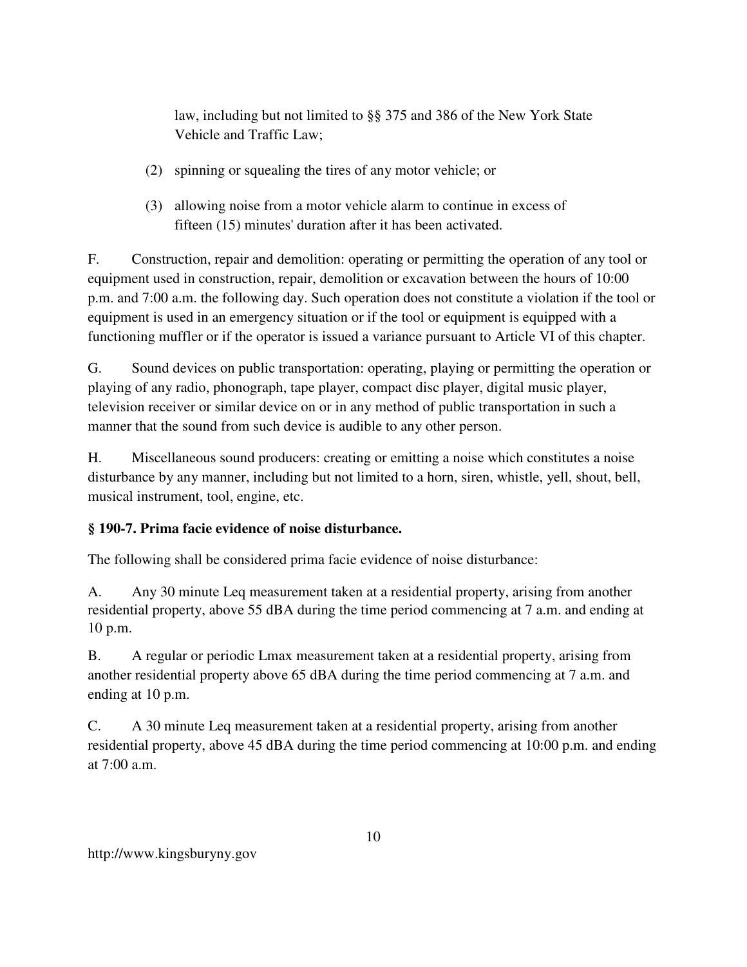law, including but not limited to §§ 375 and 386 of the New York State Vehicle and Traffic Law;

- (2) spinning or squealing the tires of any motor vehicle; or
- (3) allowing noise from a motor vehicle alarm to continue in excess of fifteen (15) minutes' duration after it has been activated.

F. Construction, repair and demolition: operating or permitting the operation of any tool or equipment used in construction, repair, demolition or excavation between the hours of 10:00 p.m. and 7:00 a.m. the following day. Such operation does not constitute a violation if the tool or equipment is used in an emergency situation or if the tool or equipment is equipped with a functioning muffler or if the operator is issued a variance pursuant to Article VI of this chapter.

G. Sound devices on public transportation: operating, playing or permitting the operation or playing of any radio, phonograph, tape player, compact disc player, digital music player, television receiver or similar device on or in any method of public transportation in such a manner that the sound from such device is audible to any other person.

H. Miscellaneous sound producers: creating or emitting a noise which constitutes a noise disturbance by any manner, including but not limited to a horn, siren, whistle, yell, shout, bell, musical instrument, tool, engine, etc.

## **§ 190-7. Prima facie evidence of noise disturbance.**

The following shall be considered prima facie evidence of noise disturbance:

A. Any 30 minute Leq measurement taken at a residential property, arising from another residential property, above 55 dBA during the time period commencing at 7 a.m. and ending at 10 p.m.

B. A regular or periodic Lmax measurement taken at a residential property, arising from another residential property above 65 dBA during the time period commencing at 7 a.m. and ending at 10 p.m.

C. A 30 minute Leq measurement taken at a residential property, arising from another residential property, above 45 dBA during the time period commencing at 10:00 p.m. and ending at  $7:00$  a.m.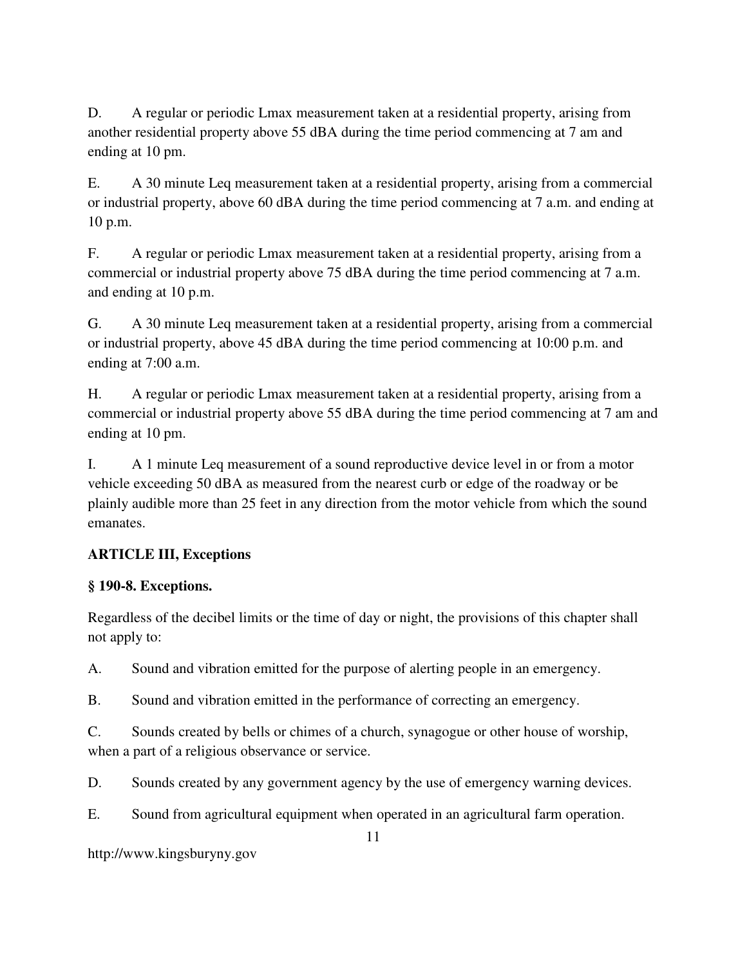D. A regular or periodic Lmax measurement taken at a residential property, arising from another residential property above 55 dBA during the time period commencing at 7 am and ending at 10 pm.

E. A 30 minute Leq measurement taken at a residential property, arising from a commercial or industrial property, above 60 dBA during the time period commencing at 7 a.m. and ending at 10 p.m.

F. A regular or periodic Lmax measurement taken at a residential property, arising from a commercial or industrial property above 75 dBA during the time period commencing at 7 a.m. and ending at 10 p.m.

G. A 30 minute Leq measurement taken at a residential property, arising from a commercial or industrial property, above 45 dBA during the time period commencing at 10:00 p.m. and ending at 7:00 a.m.

H. A regular or periodic Lmax measurement taken at a residential property, arising from a commercial or industrial property above 55 dBA during the time period commencing at 7 am and ending at 10 pm.

I. A 1 minute Leq measurement of a sound reproductive device level in or from a motor vehicle exceeding 50 dBA as measured from the nearest curb or edge of the roadway or be plainly audible more than 25 feet in any direction from the motor vehicle from which the sound emanates.

# **ARTICLE III, Exceptions**

## **§ 190-8. Exceptions.**

Regardless of the decibel limits or the time of day or night, the provisions of this chapter shall not apply to:

A. Sound and vibration emitted for the purpose of alerting people in an emergency.

B. Sound and vibration emitted in the performance of correcting an emergency.

C. Sounds created by bells or chimes of a church, synagogue or other house of worship, when a part of a religious observance or service.

D. Sounds created by any government agency by the use of emergency warning devices.

E. Sound from agricultural equipment when operated in an agricultural farm operation.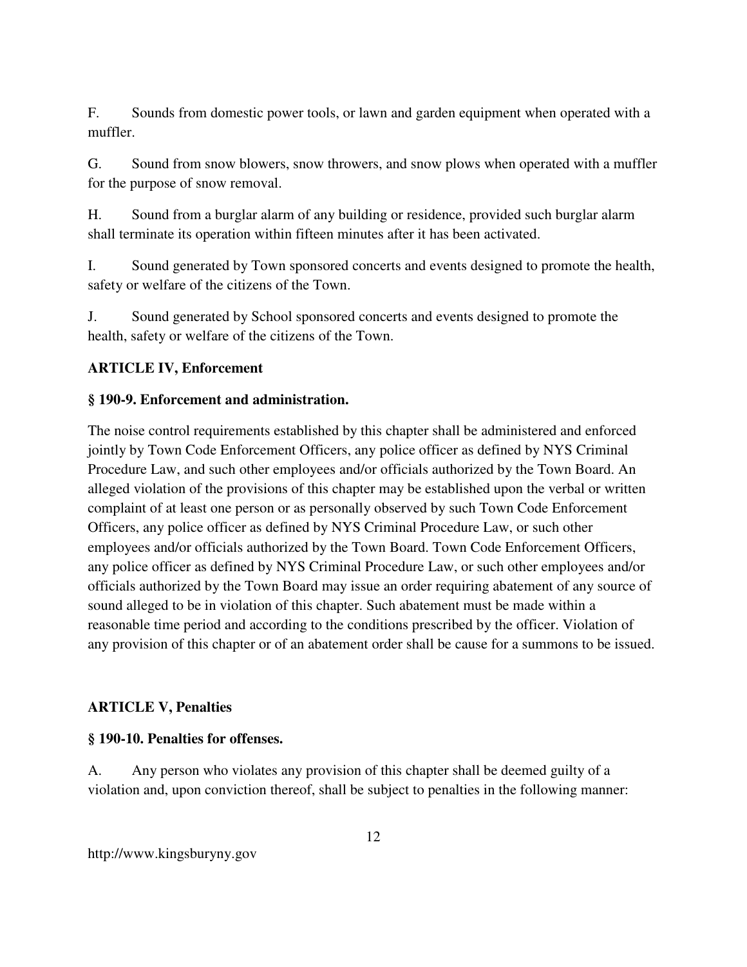F. Sounds from domestic power tools, or lawn and garden equipment when operated with a muffler.

G. Sound from snow blowers, snow throwers, and snow plows when operated with a muffler for the purpose of snow removal.

H. Sound from a burglar alarm of any building or residence, provided such burglar alarm shall terminate its operation within fifteen minutes after it has been activated.

I. Sound generated by Town sponsored concerts and events designed to promote the health, safety or welfare of the citizens of the Town.

J. Sound generated by School sponsored concerts and events designed to promote the health, safety or welfare of the citizens of the Town.

# **ARTICLE IV, Enforcement**

## **§ 190-9. Enforcement and administration.**

The noise control requirements established by this chapter shall be administered and enforced jointly by Town Code Enforcement Officers, any police officer as defined by NYS Criminal Procedure Law, and such other employees and/or officials authorized by the Town Board. An alleged violation of the provisions of this chapter may be established upon the verbal or written complaint of at least one person or as personally observed by such Town Code Enforcement Officers, any police officer as defined by NYS Criminal Procedure Law, or such other employees and/or officials authorized by the Town Board. Town Code Enforcement Officers, any police officer as defined by NYS Criminal Procedure Law, or such other employees and/or officials authorized by the Town Board may issue an order requiring abatement of any source of sound alleged to be in violation of this chapter. Such abatement must be made within a reasonable time period and according to the conditions prescribed by the officer. Violation of any provision of this chapter or of an abatement order shall be cause for a summons to be issued.

## **ARTICLE V, Penalties**

### **§ 190-10. Penalties for offenses.**

A. Any person who violates any provision of this chapter shall be deemed guilty of a violation and, upon conviction thereof, shall be subject to penalties in the following manner: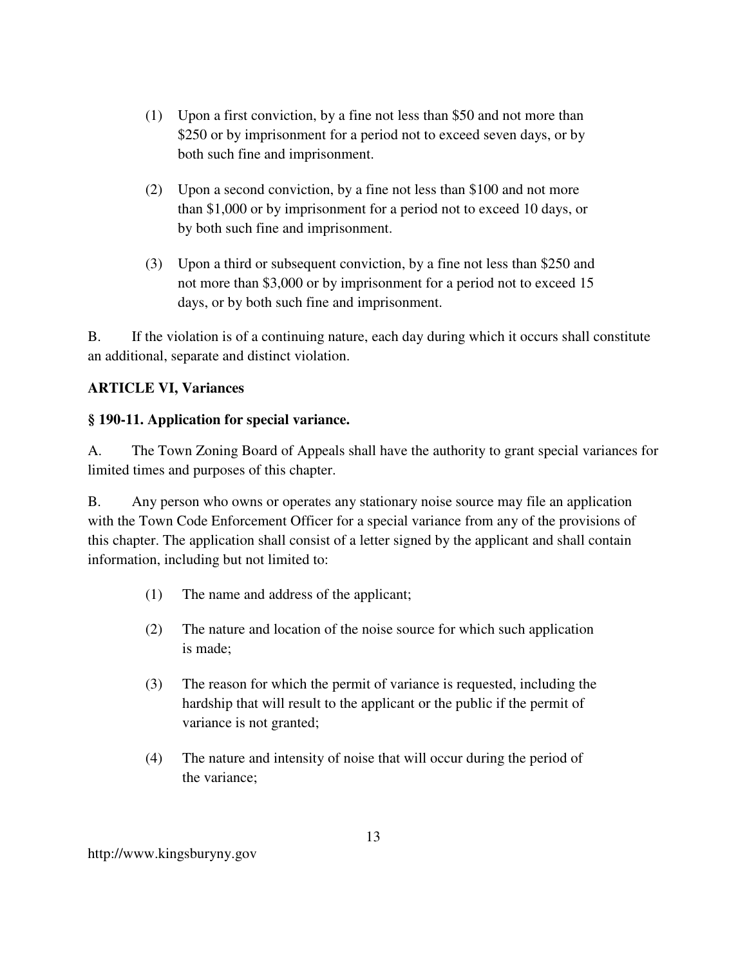- (1) Upon a first conviction, by a fine not less than \$50 and not more than \$250 or by imprisonment for a period not to exceed seven days, or by both such fine and imprisonment.
- (2) Upon a second conviction, by a fine not less than \$100 and not more than \$1,000 or by imprisonment for a period not to exceed 10 days, or by both such fine and imprisonment.
- (3) Upon a third or subsequent conviction, by a fine not less than \$250 and not more than \$3,000 or by imprisonment for a period not to exceed 15 days, or by both such fine and imprisonment.

B. If the violation is of a continuing nature, each day during which it occurs shall constitute an additional, separate and distinct violation.

# **ARTICLE VI, Variances**

## **§ 190-11. Application for special variance.**

A. The Town Zoning Board of Appeals shall have the authority to grant special variances for limited times and purposes of this chapter.

B. Any person who owns or operates any stationary noise source may file an application with the Town Code Enforcement Officer for a special variance from any of the provisions of this chapter. The application shall consist of a letter signed by the applicant and shall contain information, including but not limited to:

- (1) The name and address of the applicant;
- (2) The nature and location of the noise source for which such application is made;
- (3) The reason for which the permit of variance is requested, including the hardship that will result to the applicant or the public if the permit of variance is not granted;
- (4) The nature and intensity of noise that will occur during the period of the variance;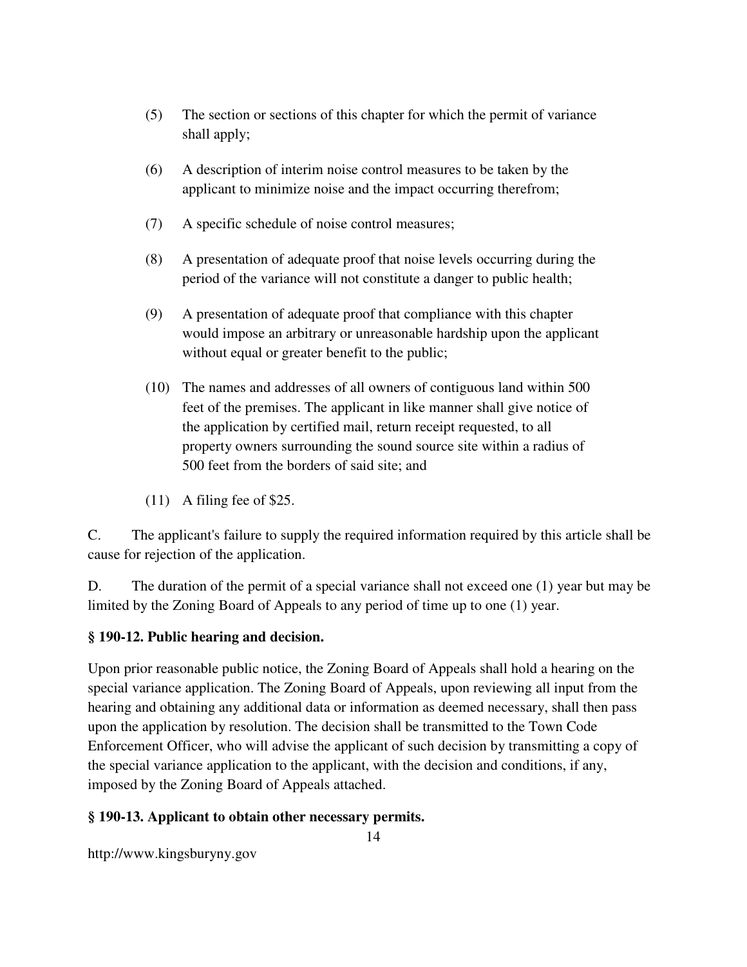- (5) The section or sections of this chapter for which the permit of variance shall apply;
- (6) A description of interim noise control measures to be taken by the applicant to minimize noise and the impact occurring therefrom;
- (7) A specific schedule of noise control measures;
- (8) A presentation of adequate proof that noise levels occurring during the period of the variance will not constitute a danger to public health;
- (9) A presentation of adequate proof that compliance with this chapter would impose an arbitrary or unreasonable hardship upon the applicant without equal or greater benefit to the public;
- (10) The names and addresses of all owners of contiguous land within 500 feet of the premises. The applicant in like manner shall give notice of the application by certified mail, return receipt requested, to all property owners surrounding the sound source site within a radius of 500 feet from the borders of said site; and
- (11) A filing fee of \$25.

C. The applicant's failure to supply the required information required by this article shall be cause for rejection of the application.

D. The duration of the permit of a special variance shall not exceed one (1) year but may be limited by the Zoning Board of Appeals to any period of time up to one (1) year.

### **§ 190-12. Public hearing and decision.**

Upon prior reasonable public notice, the Zoning Board of Appeals shall hold a hearing on the special variance application. The Zoning Board of Appeals, upon reviewing all input from the hearing and obtaining any additional data or information as deemed necessary, shall then pass upon the application by resolution. The decision shall be transmitted to the Town Code Enforcement Officer, who will advise the applicant of such decision by transmitting a copy of the special variance application to the applicant, with the decision and conditions, if any, imposed by the Zoning Board of Appeals attached.

#### **§ 190-13. Applicant to obtain other necessary permits.**

14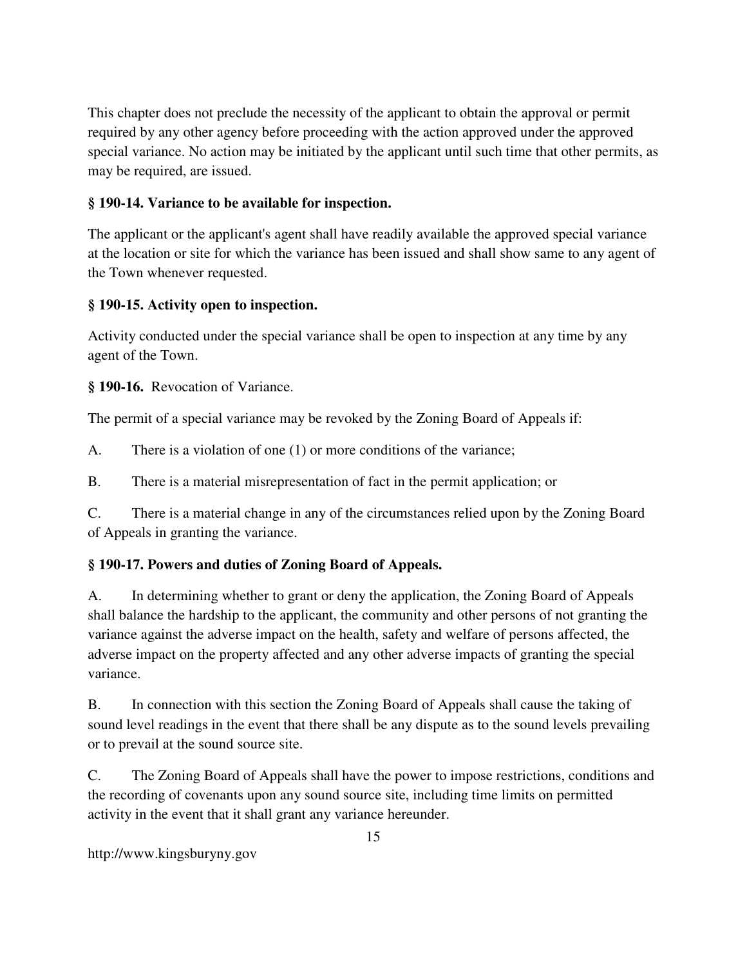This chapter does not preclude the necessity of the applicant to obtain the approval or permit required by any other agency before proceeding with the action approved under the approved special variance. No action may be initiated by the applicant until such time that other permits, as may be required, are issued.

### **§ 190-14. Variance to be available for inspection.**

The applicant or the applicant's agent shall have readily available the approved special variance at the location or site for which the variance has been issued and shall show same to any agent of the Town whenever requested.

### **§ 190-15. Activity open to inspection.**

Activity conducted under the special variance shall be open to inspection at any time by any agent of the Town.

**§ 190-16.** Revocation of Variance.

The permit of a special variance may be revoked by the Zoning Board of Appeals if:

A. There is a violation of one (1) or more conditions of the variance;

B. There is a material misrepresentation of fact in the permit application; or

C. There is a material change in any of the circumstances relied upon by the Zoning Board of Appeals in granting the variance.

## **§ 190-17. Powers and duties of Zoning Board of Appeals.**

A. In determining whether to grant or deny the application, the Zoning Board of Appeals shall balance the hardship to the applicant, the community and other persons of not granting the variance against the adverse impact on the health, safety and welfare of persons affected, the adverse impact on the property affected and any other adverse impacts of granting the special variance.

B. In connection with this section the Zoning Board of Appeals shall cause the taking of sound level readings in the event that there shall be any dispute as to the sound levels prevailing or to prevail at the sound source site.

C. The Zoning Board of Appeals shall have the power to impose restrictions, conditions and the recording of covenants upon any sound source site, including time limits on permitted activity in the event that it shall grant any variance hereunder.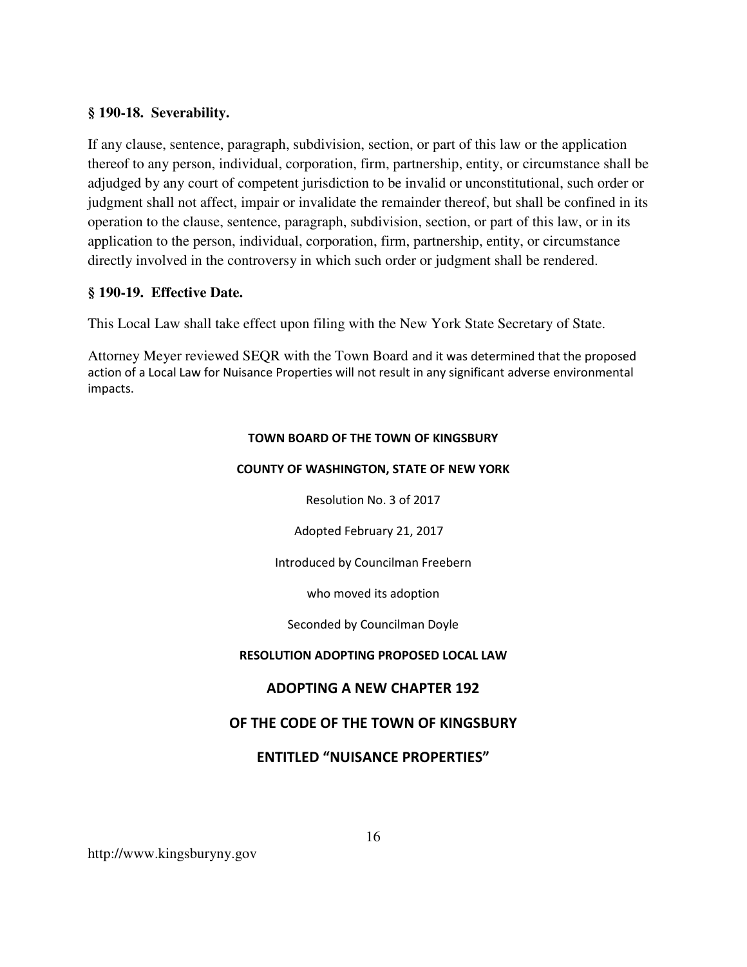#### **§ 190-18. Severability.**

If any clause, sentence, paragraph, subdivision, section, or part of this law or the application thereof to any person, individual, corporation, firm, partnership, entity, or circumstance shall be adjudged by any court of competent jurisdiction to be invalid or unconstitutional, such order or judgment shall not affect, impair or invalidate the remainder thereof, but shall be confined in its operation to the clause, sentence, paragraph, subdivision, section, or part of this law, or in its application to the person, individual, corporation, firm, partnership, entity, or circumstance directly involved in the controversy in which such order or judgment shall be rendered.

#### **§ 190-19. Effective Date.**

This Local Law shall take effect upon filing with the New York State Secretary of State.

Attorney Meyer reviewed SEQR with the Town Board and it was determined that the proposed action of a Local Law for Nuisance Properties will not result in any significant adverse environmental impacts.

#### **TOWN BOARD OF THE TOWN OF KINGSBURY**

#### **COUNTY OF WASHINGTON, STATE OF NEW YORK**

Resolution No. 3 of 2017

Adopted February 21, 2017

Introduced by Councilman Freebern

who moved its adoption

Seconded by Councilman Doyle

#### **RESOLUTION ADOPTING PROPOSED LOCAL LAW**

### **ADOPTING A NEW CHAPTER 192**

### **OF THE CODE OF THE TOWN OF KINGSBURY**

### **ENTITLED "NUISANCE PROPERTIES"**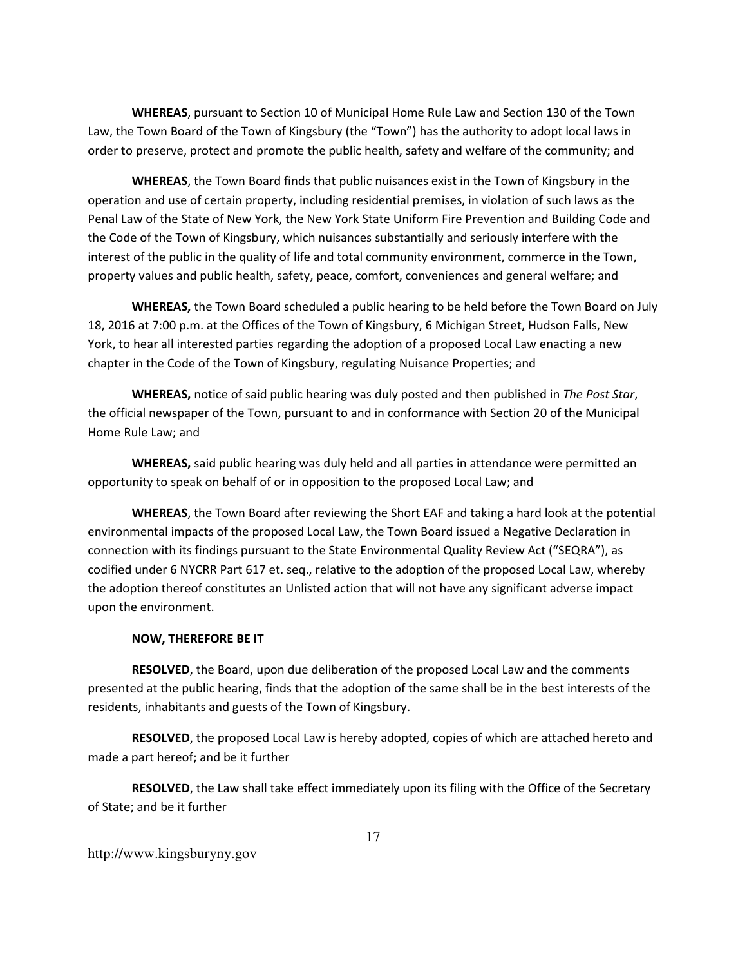**WHEREAS**, pursuant to Section 10 of Municipal Home Rule Law and Section 130 of the Town Law, the Town Board of the Town of Kingsbury (the "Town") has the authority to adopt local laws in order to preserve, protect and promote the public health, safety and welfare of the community; and

**WHEREAS**, the Town Board finds that public nuisances exist in the Town of Kingsbury in the operation and use of certain property, including residential premises, in violation of such laws as the Penal Law of the State of New York, the New York State Uniform Fire Prevention and Building Code and the Code of the Town of Kingsbury, which nuisances substantially and seriously interfere with the interest of the public in the quality of life and total community environment, commerce in the Town, property values and public health, safety, peace, comfort, conveniences and general welfare; and

**WHEREAS,** the Town Board scheduled a public hearing to be held before the Town Board on July 18, 2016 at 7:00 p.m. at the Offices of the Town of Kingsbury, 6 Michigan Street, Hudson Falls, New York, to hear all interested parties regarding the adoption of a proposed Local Law enacting a new chapter in the Code of the Town of Kingsbury, regulating Nuisance Properties; and

**WHEREAS,** notice of said public hearing was duly posted and then published in *The Post Star*, the official newspaper of the Town, pursuant to and in conformance with Section 20 of the Municipal Home Rule Law; and

**WHEREAS,** said public hearing was duly held and all parties in attendance were permitted an opportunity to speak on behalf of or in opposition to the proposed Local Law; and

**WHEREAS**, the Town Board after reviewing the Short EAF and taking a hard look at the potential environmental impacts of the proposed Local Law, the Town Board issued a Negative Declaration in connection with its findings pursuant to the State Environmental Quality Review Act ("SEQRA"), as codified under 6 NYCRR Part 617 et. seq., relative to the adoption of the proposed Local Law, whereby the adoption thereof constitutes an Unlisted action that will not have any significant adverse impact upon the environment.

#### **NOW, THEREFORE BE IT**

**RESOLVED**, the Board, upon due deliberation of the proposed Local Law and the comments presented at the public hearing, finds that the adoption of the same shall be in the best interests of the residents, inhabitants and guests of the Town of Kingsbury.

**RESOLVED**, the proposed Local Law is hereby adopted, copies of which are attached hereto and made a part hereof; and be it further

**RESOLVED**, the Law shall take effect immediately upon its filing with the Office of the Secretary of State; and be it further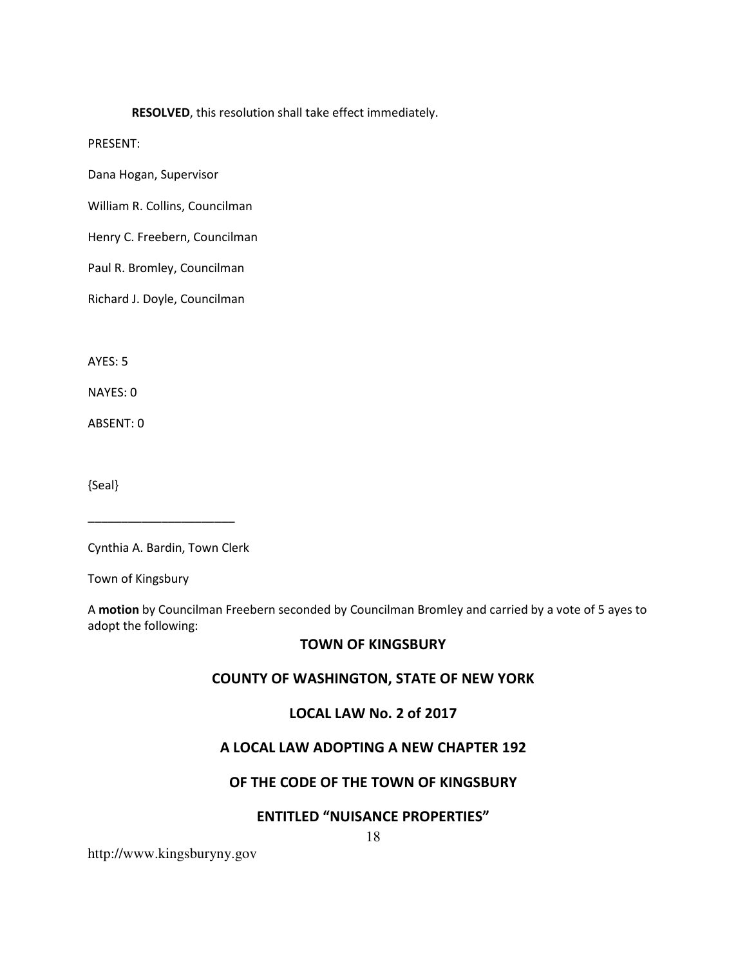#### **RESOLVED**, this resolution shall take effect immediately.

PRESENT:

Dana Hogan, Supervisor

William R. Collins, Councilman

Henry C. Freebern, Councilman

Paul R. Bromley, Councilman

Richard J. Doyle, Councilman

AYES: 5

NAYES: 0

ABSENT: 0

{Seal}

Cynthia A. Bardin, Town Clerk

\_\_\_\_\_\_\_\_\_\_\_\_\_\_\_\_\_\_\_\_\_\_

Town of Kingsbury

A **motion** by Councilman Freebern seconded by Councilman Bromley and carried by a vote of 5 ayes to adopt the following:

### **TOWN OF KINGSBURY**

#### **COUNTY OF WASHINGTON, STATE OF NEW YORK**

### **LOCAL LAW No. 2 of 2017**

### **A LOCAL LAW ADOPTING A NEW CHAPTER 192**

#### **OF THE CODE OF THE TOWN OF KINGSBURY**

#### **ENTITLED "NUISANCE PROPERTIES"**

18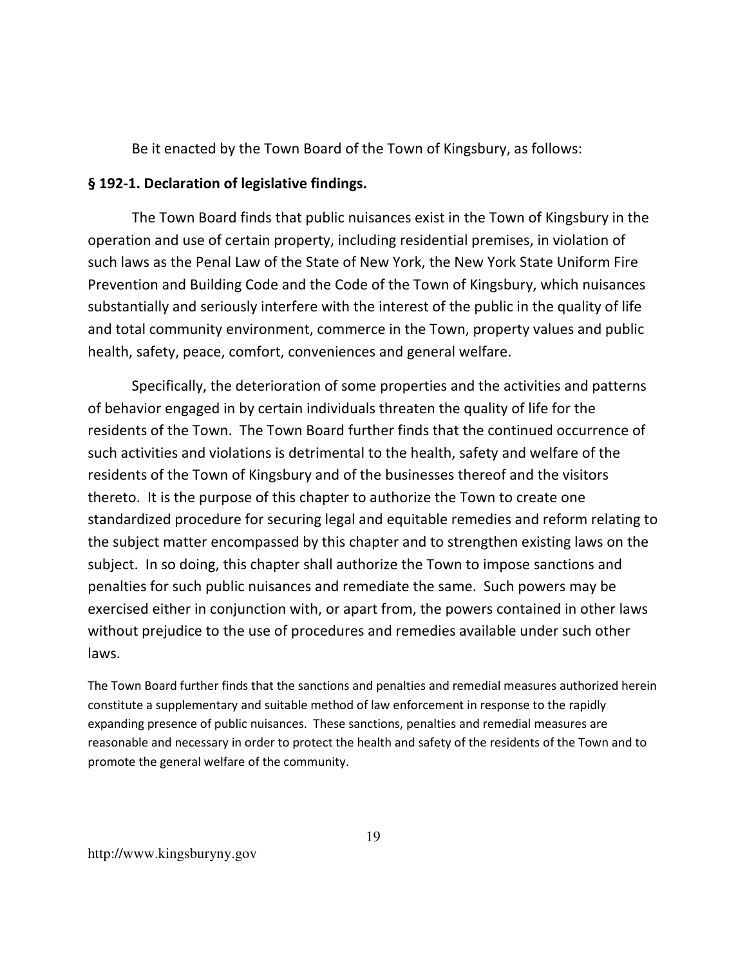Be it enacted by the Town Board of the Town of Kingsbury, as follows:

### **§ 192-1. Declaration of legislative findings.**

The Town Board finds that public nuisances exist in the Town of Kingsbury in the operation and use of certain property, including residential premises, in violation of such laws as the Penal Law of the State of New York, the New York State Uniform Fire Prevention and Building Code and the Code of the Town of Kingsbury, which nuisances substantially and seriously interfere with the interest of the public in the quality of life and total community environment, commerce in the Town, property values and public health, safety, peace, comfort, conveniences and general welfare.

Specifically, the deterioration of some properties and the activities and patterns of behavior engaged in by certain individuals threaten the quality of life for the residents of the Town. The Town Board further finds that the continued occurrence of such activities and violations is detrimental to the health, safety and welfare of the residents of the Town of Kingsbury and of the businesses thereof and the visitors thereto. It is the purpose of this chapter to authorize the Town to create one standardized procedure for securing legal and equitable remedies and reform relating to the subject matter encompassed by this chapter and to strengthen existing laws on the subject. In so doing, this chapter shall authorize the Town to impose sanctions and penalties for such public nuisances and remediate the same. Such powers may be exercised either in conjunction with, or apart from, the powers contained in other laws without prejudice to the use of procedures and remedies available under such other laws.

The Town Board further finds that the sanctions and penalties and remedial measures authorized herein constitute a supplementary and suitable method of law enforcement in response to the rapidly expanding presence of public nuisances. These sanctions, penalties and remedial measures are reasonable and necessary in order to protect the health and safety of the residents of the Town and to promote the general welfare of the community.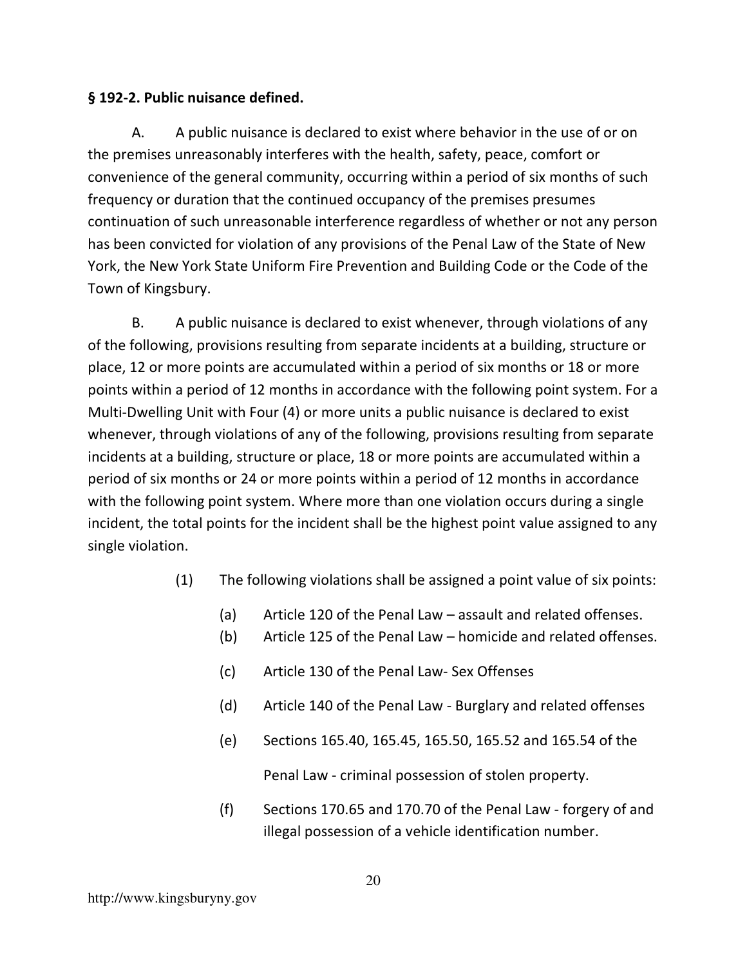## **§ 192-2. Public nuisance defined.**

A. A public nuisance is declared to exist where behavior in the use of or on the premises unreasonably interferes with the health, safety, peace, comfort or convenience of the general community, occurring within a period of six months of such frequency or duration that the continued occupancy of the premises presumes continuation of such unreasonable interference regardless of whether or not any person has been convicted for violation of any provisions of the Penal Law of the State of New York, the New York State Uniform Fire Prevention and Building Code or the Code of the Town of Kingsbury.

B. A public nuisance is declared to exist whenever, through violations of any of the following, provisions resulting from separate incidents at a building, structure or place, 12 or more points are accumulated within a period of six months or 18 or more points within a period of 12 months in accordance with the following point system. For a Multi-Dwelling Unit with Four (4) or more units a public nuisance is declared to exist whenever, through violations of any of the following, provisions resulting from separate incidents at a building, structure or place, 18 or more points are accumulated within a period of six months or 24 or more points within a period of 12 months in accordance with the following point system. Where more than one violation occurs during a single incident, the total points for the incident shall be the highest point value assigned to any single violation.

- (1) The following violations shall be assigned a point value of six points:
	- (a) Article 120 of the Penal Law assault and related offenses.
	- (b) Article 125 of the Penal Law homicide and related offenses.
	- (c) Article 130 of the Penal Law- Sex Offenses
	- (d) Article 140 of the Penal Law Burglary and related offenses
	- (e) Sections 165.40, 165.45, 165.50, 165.52 and 165.54 of the Penal Law - criminal possession of stolen property.
	- (f) Sections 170.65 and 170.70 of the Penal Law forgery of and illegal possession of a vehicle identification number.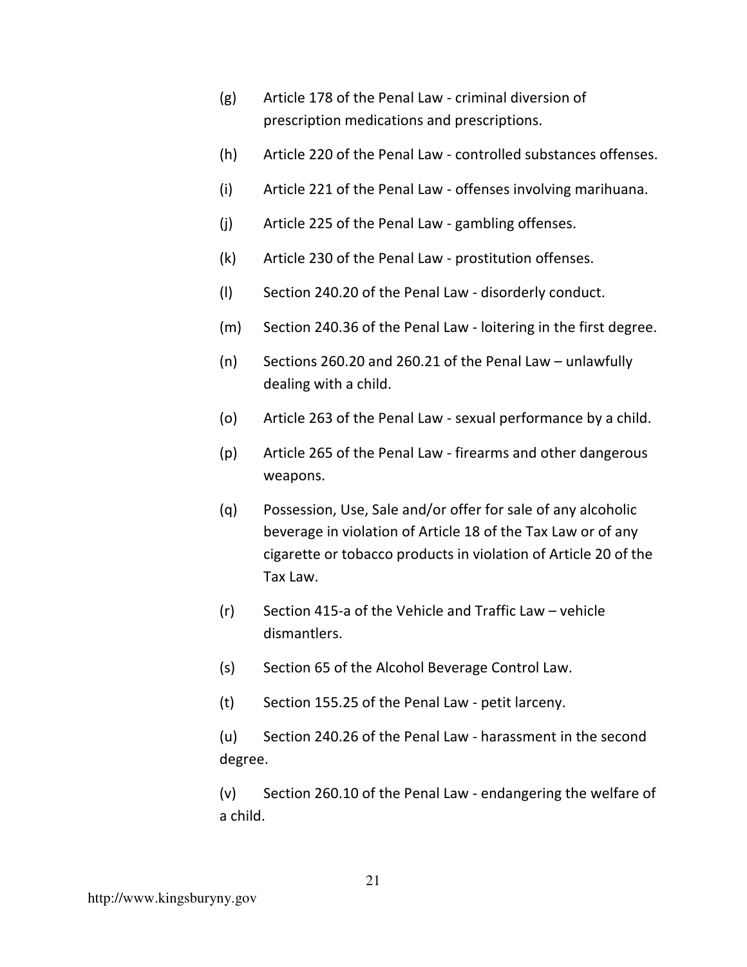- (g) Article 178 of the Penal Law criminal diversion of prescription medications and prescriptions.
- (h) Article 220 of the Penal Law controlled substances offenses.
- (i) Article 221 of the Penal Law offenses involving marihuana.
- (j) Article 225 of the Penal Law gambling offenses.
- (k) Article 230 of the Penal Law prostitution offenses.
- (l) Section 240.20 of the Penal Law disorderly conduct.
- (m) Section 240.36 of the Penal Law loitering in the first degree.
- (n) Sections 260.20 and 260.21 of the Penal Law unlawfully dealing with a child.
- (o) Article 263 of the Penal Law sexual performance by a child.
- (p) Article 265 of the Penal Law firearms and other dangerous weapons.
- (q) Possession, Use, Sale and/or offer for sale of any alcoholic beverage in violation of Article 18 of the Tax Law or of any cigarette or tobacco products in violation of Article 20 of the Tax Law.
- (r) Section 415-a of the Vehicle and Traffic Law vehicle dismantlers.
- (s) Section 65 of the Alcohol Beverage Control Law.
- (t) Section 155.25 of the Penal Law petit larceny.

(u) Section 240.26 of the Penal Law - harassment in the second degree.

(v) Section 260.10 of the Penal Law - endangering the welfare of a child.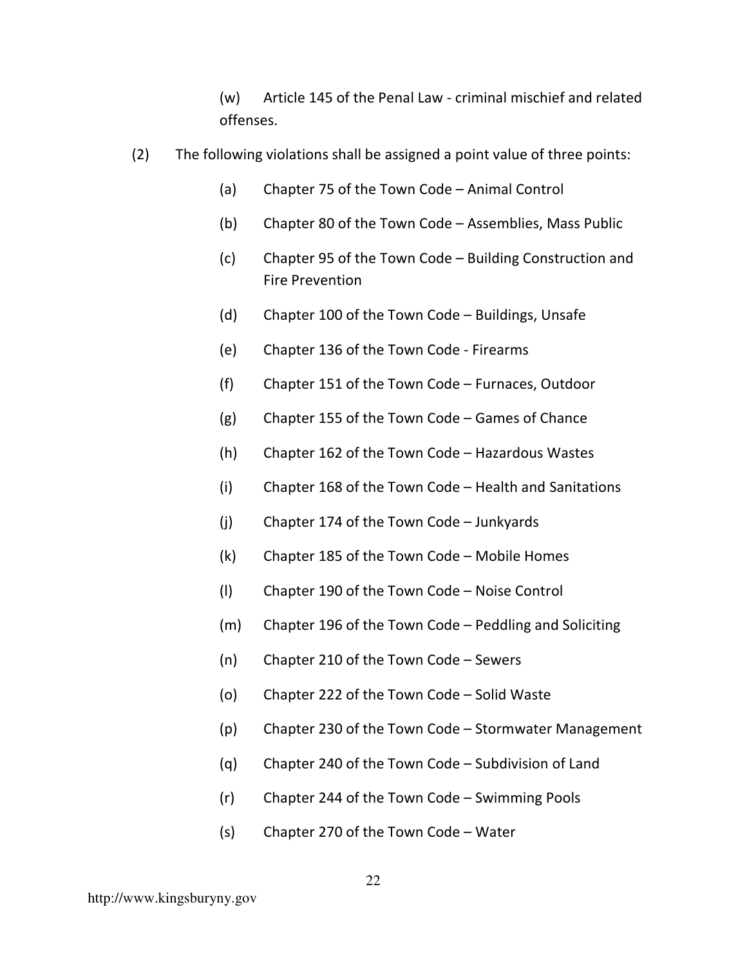(w) Article 145 of the Penal Law - criminal mischief and related offenses.

- (2) The following violations shall be assigned a point value of three points:
	- (a) Chapter 75 of the Town Code Animal Control
	- (b) Chapter 80 of the Town Code Assemblies, Mass Public
	- (c) Chapter 95 of the Town Code Building Construction and Fire Prevention
	- (d) Chapter 100 of the Town Code Buildings, Unsafe
	- (e) Chapter 136 of the Town Code Firearms
	- (f) Chapter 151 of the Town Code Furnaces, Outdoor
	- (g) Chapter 155 of the Town Code Games of Chance
	- (h) Chapter 162 of the Town Code Hazardous Wastes
	- (i) Chapter 168 of the Town Code Health and Sanitations
	- (j) Chapter 174 of the Town Code Junkyards
	- (k) Chapter 185 of the Town Code Mobile Homes
	- (l) Chapter 190 of the Town Code Noise Control
	- (m) Chapter 196 of the Town Code Peddling and Soliciting
	- (n) Chapter 210 of the Town Code Sewers
	- (o) Chapter 222 of the Town Code Solid Waste
	- (p) Chapter 230 of the Town Code Stormwater Management
	- (q) Chapter 240 of the Town Code Subdivision of Land
	- (r) Chapter 244 of the Town Code Swimming Pools
	- (s) Chapter 270 of the Town Code Water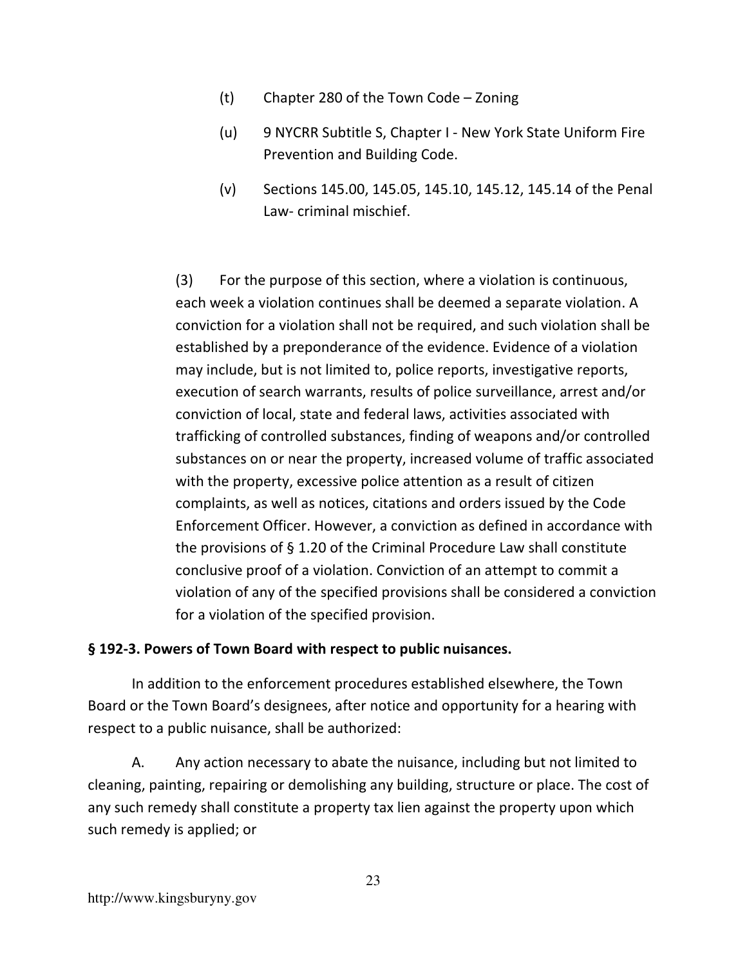- (t) Chapter 280 of the Town Code Zoning
- (u) 9 NYCRR Subtitle S, Chapter I New York State Uniform Fire Prevention and Building Code.
- (v) Sections 145.00, 145.05, 145.10, 145.12, 145.14 of the Penal Law- criminal mischief.

(3) For the purpose of this section, where a violation is continuous, each week a violation continues shall be deemed a separate violation. A conviction for a violation shall not be required, and such violation shall be established by a preponderance of the evidence. Evidence of a violation may include, but is not limited to, police reports, investigative reports, execution of search warrants, results of police surveillance, arrest and/or conviction of local, state and federal laws, activities associated with trafficking of controlled substances, finding of weapons and/or controlled substances on or near the property, increased volume of traffic associated with the property, excessive police attention as a result of citizen complaints, as well as notices, citations and orders issued by the Code Enforcement Officer. However, a conviction as defined in accordance with the provisions of § 1.20 of the Criminal Procedure Law shall constitute conclusive proof of a violation. Conviction of an attempt to commit a violation of any of the specified provisions shall be considered a conviction for a violation of the specified provision.

## **§ 192-3. Powers of Town Board with respect to public nuisances.**

In addition to the enforcement procedures established elsewhere, the Town Board or the Town Board's designees, after notice and opportunity for a hearing with respect to a public nuisance, shall be authorized:

A. Any action necessary to abate the nuisance, including but not limited to cleaning, painting, repairing or demolishing any building, structure or place. The cost of any such remedy shall constitute a property tax lien against the property upon which such remedy is applied; or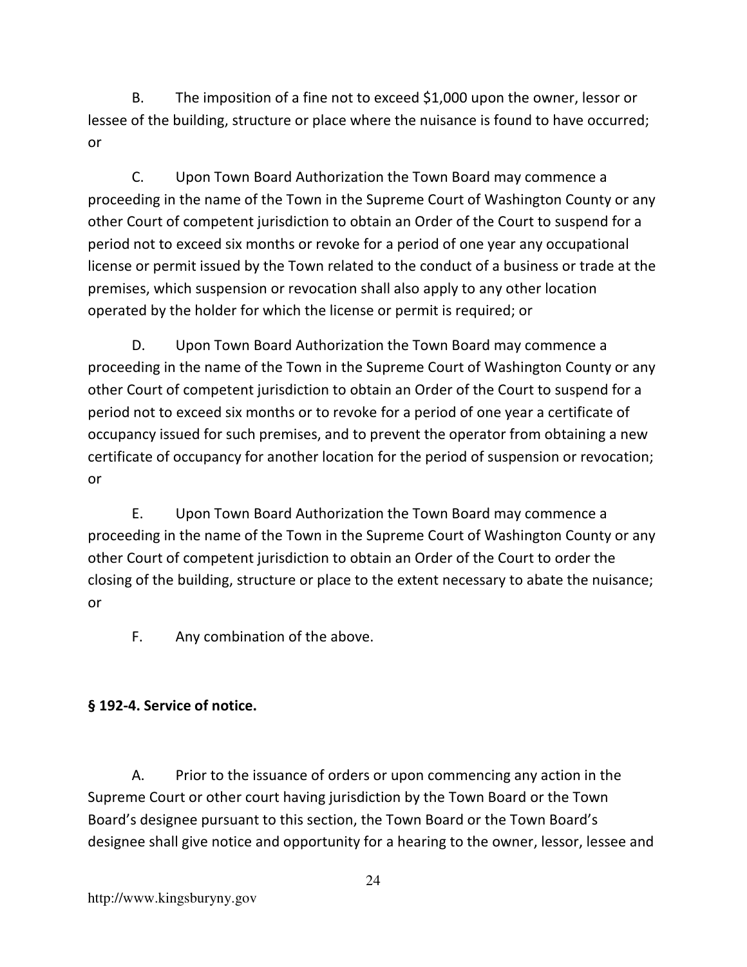B. The imposition of a fine not to exceed \$1,000 upon the owner, lessor or lessee of the building, structure or place where the nuisance is found to have occurred; or

C. Upon Town Board Authorization the Town Board may commence a proceeding in the name of the Town in the Supreme Court of Washington County or any other Court of competent jurisdiction to obtain an Order of the Court to suspend for a period not to exceed six months or revoke for a period of one year any occupational license or permit issued by the Town related to the conduct of a business or trade at the premises, which suspension or revocation shall also apply to any other location operated by the holder for which the license or permit is required; or

D. Upon Town Board Authorization the Town Board may commence a proceeding in the name of the Town in the Supreme Court of Washington County or any other Court of competent jurisdiction to obtain an Order of the Court to suspend for a period not to exceed six months or to revoke for a period of one year a certificate of occupancy issued for such premises, and to prevent the operator from obtaining a new certificate of occupancy for another location for the period of suspension or revocation; or

E. Upon Town Board Authorization the Town Board may commence a proceeding in the name of the Town in the Supreme Court of Washington County or any other Court of competent jurisdiction to obtain an Order of the Court to order the closing of the building, structure or place to the extent necessary to abate the nuisance; or

F. Any combination of the above.

# **§ 192-4. Service of notice.**

A. Prior to the issuance of orders or upon commencing any action in the Supreme Court or other court having jurisdiction by the Town Board or the Town Board's designee pursuant to this section, the Town Board or the Town Board's designee shall give notice and opportunity for a hearing to the owner, lessor, lessee and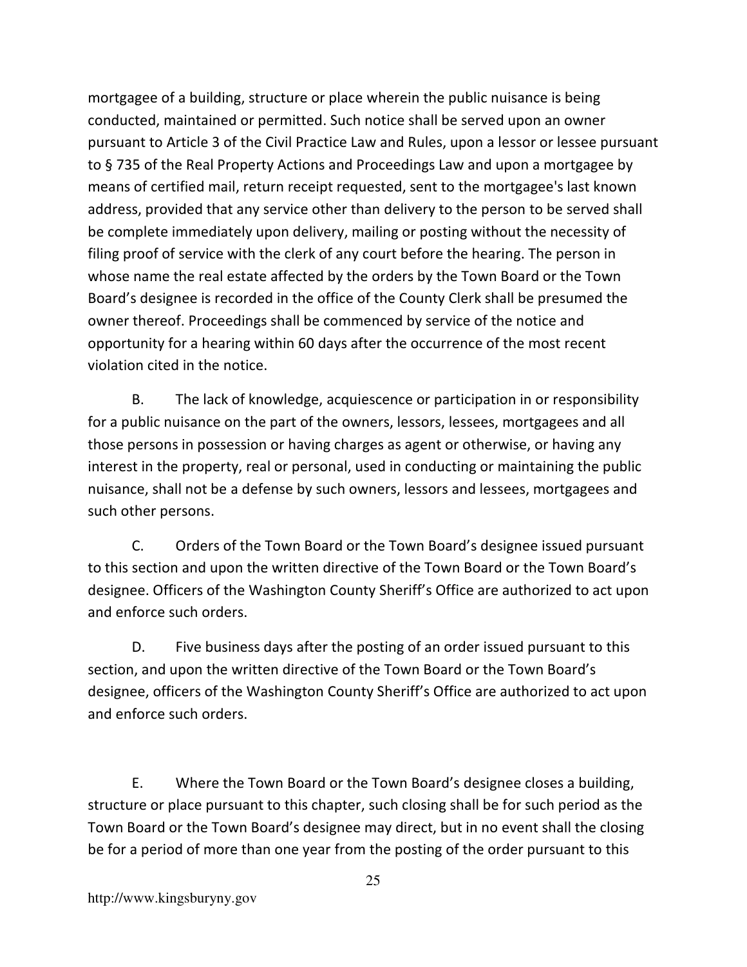mortgagee of a building, structure or place wherein the public nuisance is being conducted, maintained or permitted. Such notice shall be served upon an owner pursuant to Article 3 of the Civil Practice Law and Rules, upon a lessor or lessee pursuant to § 735 of the Real Property Actions and Proceedings Law and upon a mortgagee by means of certified mail, return receipt requested, sent to the mortgagee's last known address, provided that any service other than delivery to the person to be served shall be complete immediately upon delivery, mailing or posting without the necessity of filing proof of service with the clerk of any court before the hearing. The person in whose name the real estate affected by the orders by the Town Board or the Town Board's designee is recorded in the office of the County Clerk shall be presumed the owner thereof. Proceedings shall be commenced by service of the notice and opportunity for a hearing within 60 days after the occurrence of the most recent violation cited in the notice.

B. The lack of knowledge, acquiescence or participation in or responsibility for a public nuisance on the part of the owners, lessors, lessees, mortgagees and all those persons in possession or having charges as agent or otherwise, or having any interest in the property, real or personal, used in conducting or maintaining the public nuisance, shall not be a defense by such owners, lessors and lessees, mortgagees and such other persons.

C. Orders of the Town Board or the Town Board's designee issued pursuant to this section and upon the written directive of the Town Board or the Town Board's designee. Officers of the Washington County Sheriff's Office are authorized to act upon and enforce such orders.

D. Five business days after the posting of an order issued pursuant to this section, and upon the written directive of the Town Board or the Town Board's designee, officers of the Washington County Sheriff's Office are authorized to act upon and enforce such orders.

E. Where the Town Board or the Town Board's designee closes a building, structure or place pursuant to this chapter, such closing shall be for such period as the Town Board or the Town Board's designee may direct, but in no event shall the closing be for a period of more than one year from the posting of the order pursuant to this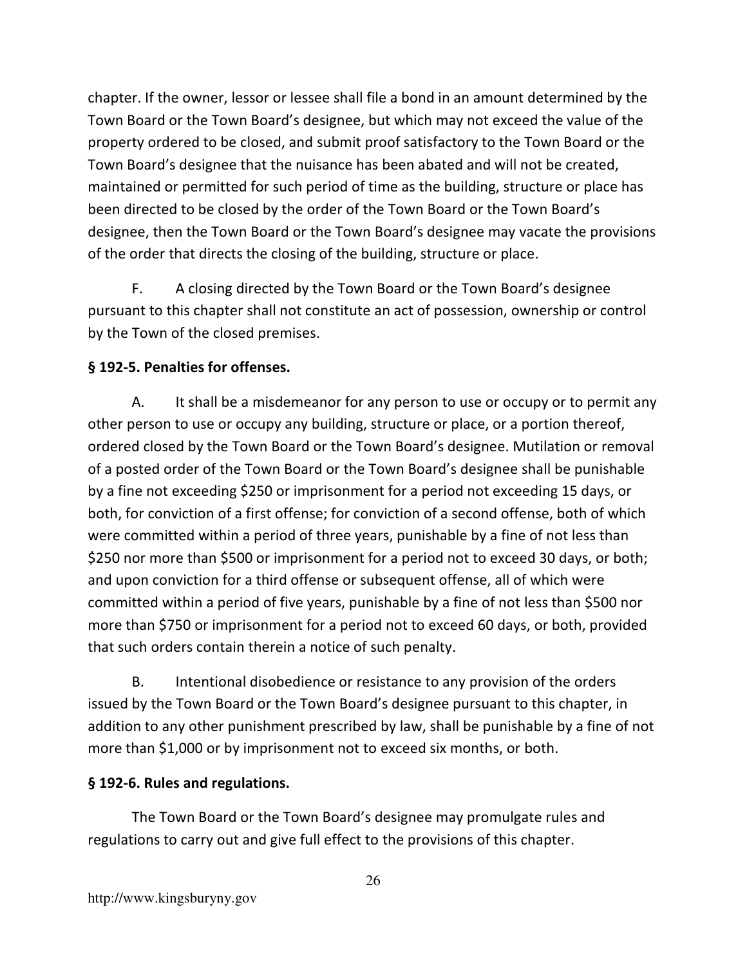chapter. If the owner, lessor or lessee shall file a bond in an amount determined by the Town Board or the Town Board's designee, but which may not exceed the value of the property ordered to be closed, and submit proof satisfactory to the Town Board or the Town Board's designee that the nuisance has been abated and will not be created, maintained or permitted for such period of time as the building, structure or place has been directed to be closed by the order of the Town Board or the Town Board's designee, then the Town Board or the Town Board's designee may vacate the provisions of the order that directs the closing of the building, structure or place.

F. A closing directed by the Town Board or the Town Board's designee pursuant to this chapter shall not constitute an act of possession, ownership or control by the Town of the closed premises.

# **§ 192-5. Penalties for offenses.**

A. It shall be a misdemeanor for any person to use or occupy or to permit any other person to use or occupy any building, structure or place, or a portion thereof, ordered closed by the Town Board or the Town Board's designee. Mutilation or removal of a posted order of the Town Board or the Town Board's designee shall be punishable by a fine not exceeding \$250 or imprisonment for a period not exceeding 15 days, or both, for conviction of a first offense; for conviction of a second offense, both of which were committed within a period of three years, punishable by a fine of not less than \$250 nor more than \$500 or imprisonment for a period not to exceed 30 days, or both; and upon conviction for a third offense or subsequent offense, all of which were committed within a period of five years, punishable by a fine of not less than \$500 nor more than \$750 or imprisonment for a period not to exceed 60 days, or both, provided that such orders contain therein a notice of such penalty.

B. Intentional disobedience or resistance to any provision of the orders issued by the Town Board or the Town Board's designee pursuant to this chapter, in addition to any other punishment prescribed by law, shall be punishable by a fine of not more than \$1,000 or by imprisonment not to exceed six months, or both.

## **§ 192-6. Rules and regulations.**

The Town Board or the Town Board's designee may promulgate rules and regulations to carry out and give full effect to the provisions of this chapter.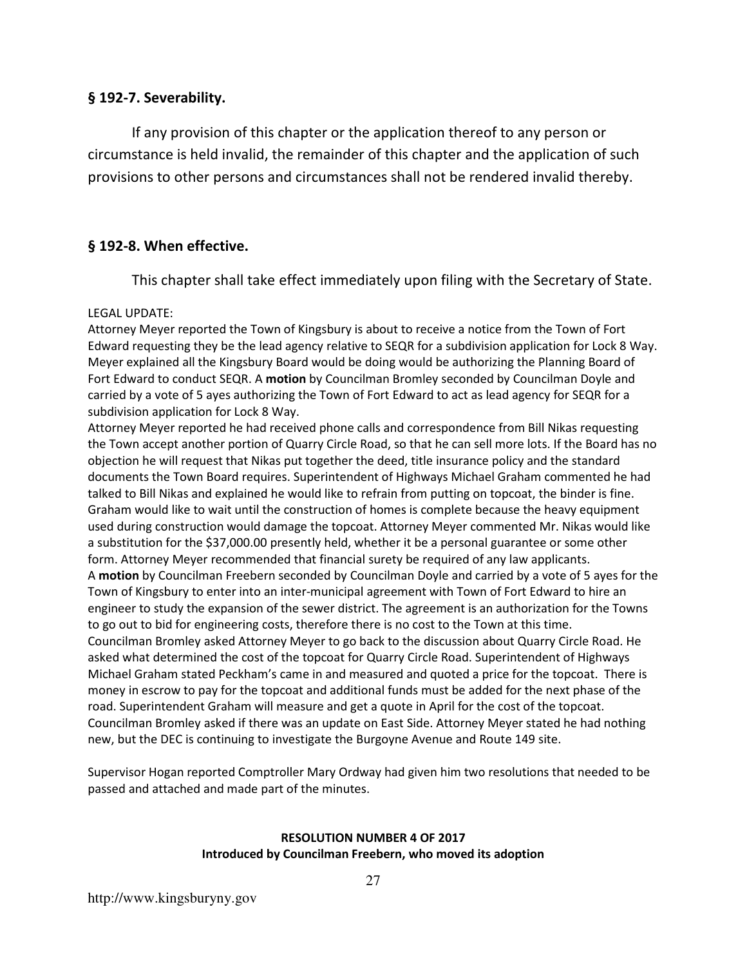### **§ 192-7. Severability.**

 If any provision of this chapter or the application thereof to any person or circumstance is held invalid, the remainder of this chapter and the application of such provisions to other persons and circumstances shall not be rendered invalid thereby.

### **§ 192-8. When effective.**

This chapter shall take effect immediately upon filing with the Secretary of State.

### LEGAL UPDATE:

Attorney Meyer reported the Town of Kingsbury is about to receive a notice from the Town of Fort Edward requesting they be the lead agency relative to SEQR for a subdivision application for Lock 8 Way. Meyer explained all the Kingsbury Board would be doing would be authorizing the Planning Board of Fort Edward to conduct SEQR. A **motion** by Councilman Bromley seconded by Councilman Doyle and carried by a vote of 5 ayes authorizing the Town of Fort Edward to act as lead agency for SEQR for a subdivision application for Lock 8 Way.

Attorney Meyer reported he had received phone calls and correspondence from Bill Nikas requesting the Town accept another portion of Quarry Circle Road, so that he can sell more lots. If the Board has no objection he will request that Nikas put together the deed, title insurance policy and the standard documents the Town Board requires. Superintendent of Highways Michael Graham commented he had talked to Bill Nikas and explained he would like to refrain from putting on topcoat, the binder is fine. Graham would like to wait until the construction of homes is complete because the heavy equipment used during construction would damage the topcoat. Attorney Meyer commented Mr. Nikas would like a substitution for the \$37,000.00 presently held, whether it be a personal guarantee or some other form. Attorney Meyer recommended that financial surety be required of any law applicants. A **motion** by Councilman Freebern seconded by Councilman Doyle and carried by a vote of 5 ayes for the Town of Kingsbury to enter into an inter-municipal agreement with Town of Fort Edward to hire an engineer to study the expansion of the sewer district. The agreement is an authorization for the Towns to go out to bid for engineering costs, therefore there is no cost to the Town at this time. Councilman Bromley asked Attorney Meyer to go back to the discussion about Quarry Circle Road. He asked what determined the cost of the topcoat for Quarry Circle Road. Superintendent of Highways Michael Graham stated Peckham's came in and measured and quoted a price for the topcoat. There is money in escrow to pay for the topcoat and additional funds must be added for the next phase of the road. Superintendent Graham will measure and get a quote in April for the cost of the topcoat. Councilman Bromley asked if there was an update on East Side. Attorney Meyer stated he had nothing new, but the DEC is continuing to investigate the Burgoyne Avenue and Route 149 site.

Supervisor Hogan reported Comptroller Mary Ordway had given him two resolutions that needed to be passed and attached and made part of the minutes.

#### **RESOLUTION NUMBER 4 OF 2017 Introduced by Councilman Freebern, who moved its adoption**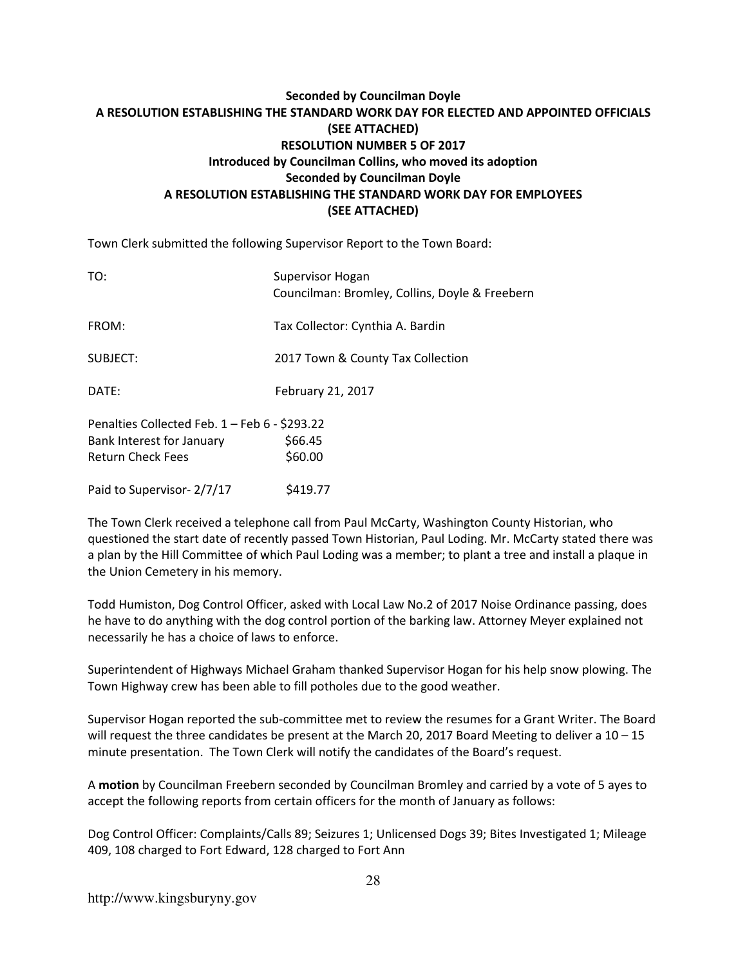### **Seconded by Councilman Doyle A RESOLUTION ESTABLISHING THE STANDARD WORK DAY FOR ELECTED AND APPOINTED OFFICIALS (SEE ATTACHED) RESOLUTION NUMBER 5 OF 2017 Introduced by Councilman Collins, who moved its adoption Seconded by Councilman Doyle A RESOLUTION ESTABLISHING THE STANDARD WORK DAY FOR EMPLOYEES (SEE ATTACHED)**

Town Clerk submitted the following Supervisor Report to the Town Board:

| TO:                                           | Supervisor Hogan<br>Councilman: Bromley, Collins, Doyle & Freebern |
|-----------------------------------------------|--------------------------------------------------------------------|
| FROM:                                         | Tax Collector: Cynthia A. Bardin                                   |
| SUBJECT:                                      | 2017 Town & County Tax Collection                                  |
| DATE:                                         | February 21, 2017                                                  |
| Penalties Collected Feb. 1 - Feb 6 - \$293.22 |                                                                    |
| Bank Interest for January                     | \$66.45                                                            |
| <b>Return Check Fees</b>                      | \$60.00                                                            |
| Paid to Supervisor- 2/7/17                    | S419.77                                                            |

The Town Clerk received a telephone call from Paul McCarty, Washington County Historian, who questioned the start date of recently passed Town Historian, Paul Loding. Mr. McCarty stated there was a plan by the Hill Committee of which Paul Loding was a member; to plant a tree and install a plaque in the Union Cemetery in his memory.

Todd Humiston, Dog Control Officer, asked with Local Law No.2 of 2017 Noise Ordinance passing, does he have to do anything with the dog control portion of the barking law. Attorney Meyer explained not necessarily he has a choice of laws to enforce.

Superintendent of Highways Michael Graham thanked Supervisor Hogan for his help snow plowing. The Town Highway crew has been able to fill potholes due to the good weather.

Supervisor Hogan reported the sub-committee met to review the resumes for a Grant Writer. The Board will request the three candidates be present at the March 20, 2017 Board Meeting to deliver a 10 – 15 minute presentation. The Town Clerk will notify the candidates of the Board's request.

A **motion** by Councilman Freebern seconded by Councilman Bromley and carried by a vote of 5 ayes to accept the following reports from certain officers for the month of January as follows:

Dog Control Officer: Complaints/Calls 89; Seizures 1; Unlicensed Dogs 39; Bites Investigated 1; Mileage 409, 108 charged to Fort Edward, 128 charged to Fort Ann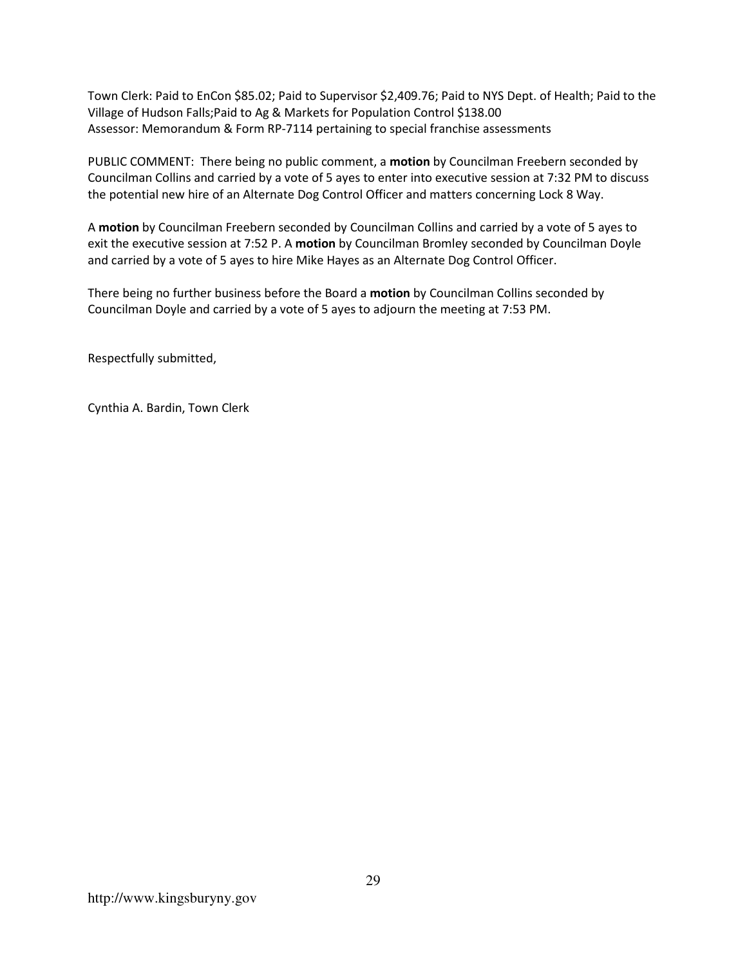Town Clerk: Paid to EnCon \$85.02; Paid to Supervisor \$2,409.76; Paid to NYS Dept. of Health; Paid to the Village of Hudson Falls;Paid to Ag & Markets for Population Control \$138.00 Assessor: Memorandum & Form RP-7114 pertaining to special franchise assessments

PUBLIC COMMENT: There being no public comment, a **motion** by Councilman Freebern seconded by Councilman Collins and carried by a vote of 5 ayes to enter into executive session at 7:32 PM to discuss the potential new hire of an Alternate Dog Control Officer and matters concerning Lock 8 Way.

A **motion** by Councilman Freebern seconded by Councilman Collins and carried by a vote of 5 ayes to exit the executive session at 7:52 P. A **motion** by Councilman Bromley seconded by Councilman Doyle and carried by a vote of 5 ayes to hire Mike Hayes as an Alternate Dog Control Officer.

There being no further business before the Board a **motion** by Councilman Collins seconded by Councilman Doyle and carried by a vote of 5 ayes to adjourn the meeting at 7:53 PM.

Respectfully submitted,

Cynthia A. Bardin, Town Clerk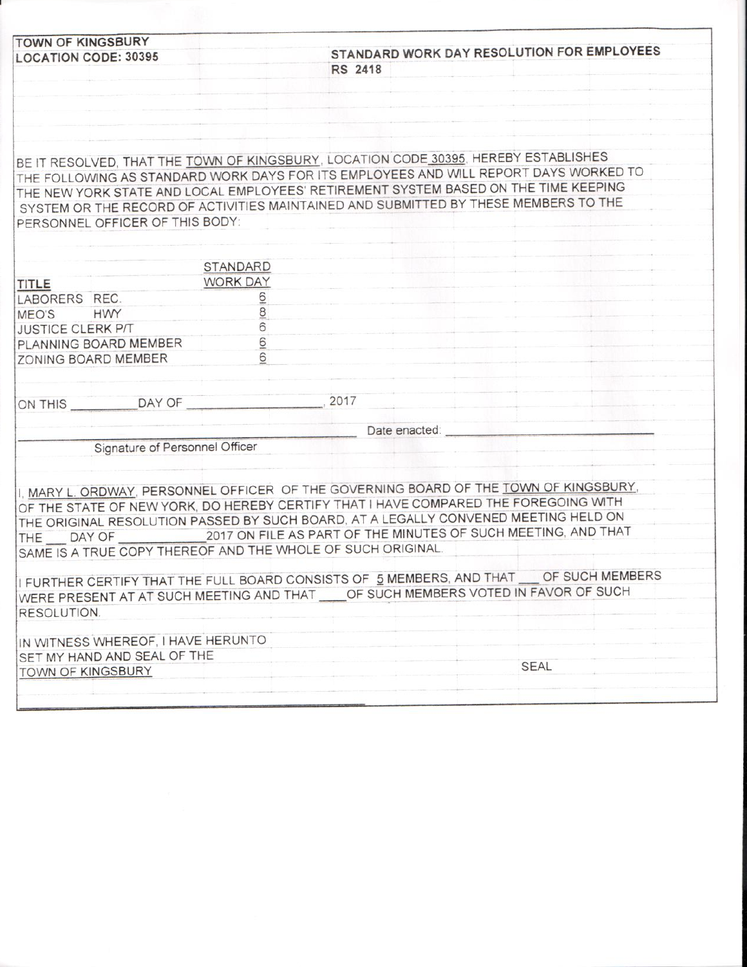| <b>TOWN OF KINGSBURY</b>                                    |                 |                                                                                       |  |
|-------------------------------------------------------------|-----------------|---------------------------------------------------------------------------------------|--|
| <b>LOCATION CODE: 30395</b>                                 |                 | STANDARD WORK DAY RESOLUTION FOR EMPLOYEES                                            |  |
|                                                             |                 | <b>RS 2418</b>                                                                        |  |
|                                                             |                 |                                                                                       |  |
|                                                             |                 |                                                                                       |  |
|                                                             |                 |                                                                                       |  |
|                                                             |                 |                                                                                       |  |
|                                                             |                 | BE IT RESOLVED, THAT THE TOWN OF KINGSBURY, LOCATION CODE 30395, HEREBY ESTABLISHES   |  |
|                                                             |                 | THE FOLLOWING AS STANDARD WORK DAYS FOR ITS EMPLOYEES AND WILL REPORT DAYS WORKED TO  |  |
|                                                             |                 | THE NEW YORK STATE AND LOCAL EMPLOYEES' RETIREMENT SYSTEM BASED ON THE TIME KEEPING   |  |
|                                                             |                 | SYSTEM OR THE RECORD OF ACTIVITIES MAINTAINED AND SUBMITTED BY THESE MEMBERS TO THE   |  |
| PERSONNEL OFFICER OF THIS BODY:                             |                 |                                                                                       |  |
|                                                             |                 |                                                                                       |  |
|                                                             |                 |                                                                                       |  |
|                                                             | <b>STANDARD</b> |                                                                                       |  |
| <b>TITLE</b>                                                | <b>WORK DAY</b> |                                                                                       |  |
| LABORERS REC.                                               |                 |                                                                                       |  |
| MEO'S HWY                                                   | $\frac{1}{8}$   |                                                                                       |  |
| <b>JUSTICE CLERK P/T</b>                                    | 6               |                                                                                       |  |
| PLANNING BOARD MEMBER                                       | 6               |                                                                                       |  |
| ZONING BOARD MEMBER                                         | 6               |                                                                                       |  |
|                                                             |                 |                                                                                       |  |
|                                                             |                 |                                                                                       |  |
| ON THIS DAY OF                                              |                 | .2017                                                                                 |  |
|                                                             |                 | Date enacted:                                                                         |  |
|                                                             |                 |                                                                                       |  |
| Signature of Personnel Officer                              |                 |                                                                                       |  |
|                                                             |                 |                                                                                       |  |
|                                                             |                 | I. MARY L. ORDWAY, PERSONNEL OFFICER OF THE GOVERNING BOARD OF THE TOWN OF KINGSBURY. |  |
|                                                             |                 | OF THE STATE OF NEW YORK, DO HEREBY CERTIFY THAT I HAVE COMPARED THE FOREGOING WITH   |  |
|                                                             |                 | THE ORIGINAL RESOLUTION PASSED BY SUCH BOARD, AT A LEGALLY CONVENED MEETING HELD ON   |  |
|                                                             |                 | THE DAY OF 2017 ON FILE AS PART OF THE MINUTES OF SUCH MEETING, AND THAT              |  |
| SAME IS A TRUE COPY THEREOF AND THE WHOLE OF SUCH ORIGINAL. |                 |                                                                                       |  |
|                                                             |                 |                                                                                       |  |
|                                                             |                 | I FURTHER CERTIFY THAT THE FULL BOARD CONSISTS OF 5 MEMBERS, AND THAT OF SUCH MEMBERS |  |
|                                                             |                 | WERE PRESENT AT AT SUCH MEETING AND THAT ____ OF SUCH MEMBERS VOTED IN FAVOR OF SUCH  |  |
|                                                             |                 |                                                                                       |  |
| RESOLUTION.                                                 |                 |                                                                                       |  |
|                                                             |                 |                                                                                       |  |
| IN WITNESS WHEREOF, I HAVE HERUNTO                          |                 |                                                                                       |  |
| SET MY HAND AND SEAL OF THE<br>TOWN OF KINGSBURY            |                 | <b>SEAL</b>                                                                           |  |